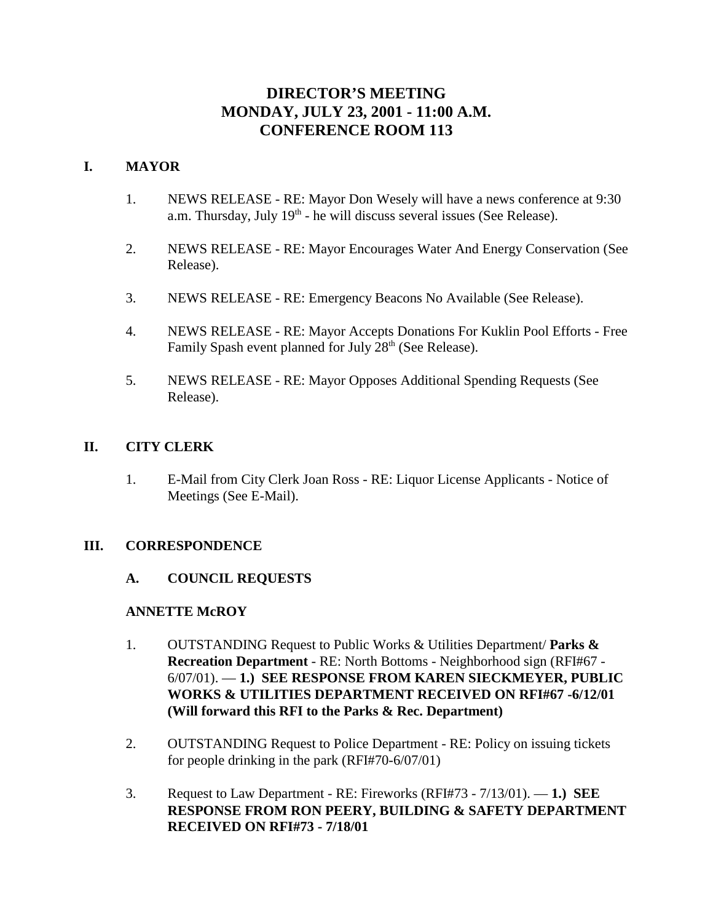# **DIRECTOR'S MEETING MONDAY, JULY 23, 2001 - 11:00 A.M. CONFERENCE ROOM 113**

# **I. MAYOR**

- 1. NEWS RELEASE RE: Mayor Don Wesely will have a news conference at 9:30 a.m. Thursday, July  $19<sup>th</sup>$  - he will discuss several issues (See Release).
- 2. NEWS RELEASE RE: Mayor Encourages Water And Energy Conservation (See Release).
- 3. NEWS RELEASE RE: Emergency Beacons No Available (See Release).
- 4. NEWS RELEASE RE: Mayor Accepts Donations For Kuklin Pool Efforts Free Family Spash event planned for July 28<sup>th</sup> (See Release).
- 5. NEWS RELEASE RE: Mayor Opposes Additional Spending Requests (See Release).

# **II. CITY CLERK**

1. E-Mail from City Clerk Joan Ross - RE: Liquor License Applicants - Notice of Meetings (See E-Mail).

# **III. CORRESPONDENCE**

# **A. COUNCIL REQUESTS**

# **ANNETTE McROY**

- 1. OUTSTANDING Request to Public Works & Utilities Department/ **Parks & Recreation Department** - RE: North Bottoms - Neighborhood sign (RFI#67 - 6/07/01). — **1.) SEE RESPONSE FROM KAREN SIECKMEYER, PUBLIC WORKS & UTILITIES DEPARTMENT RECEIVED ON RFI#67 -6/12/01 (Will forward this RFI to the Parks & Rec. Department)**
- 2. OUTSTANDING Request to Police Department RE: Policy on issuing tickets for people drinking in the park (RFI#70-6/07/01)
- 3. Request to Law Department RE: Fireworks (RFI#73 7/13/01). **1.) SEE RESPONSE FROM RON PEERY, BUILDING & SAFETY DEPARTMENT RECEIVED ON RFI#73 - 7/18/01**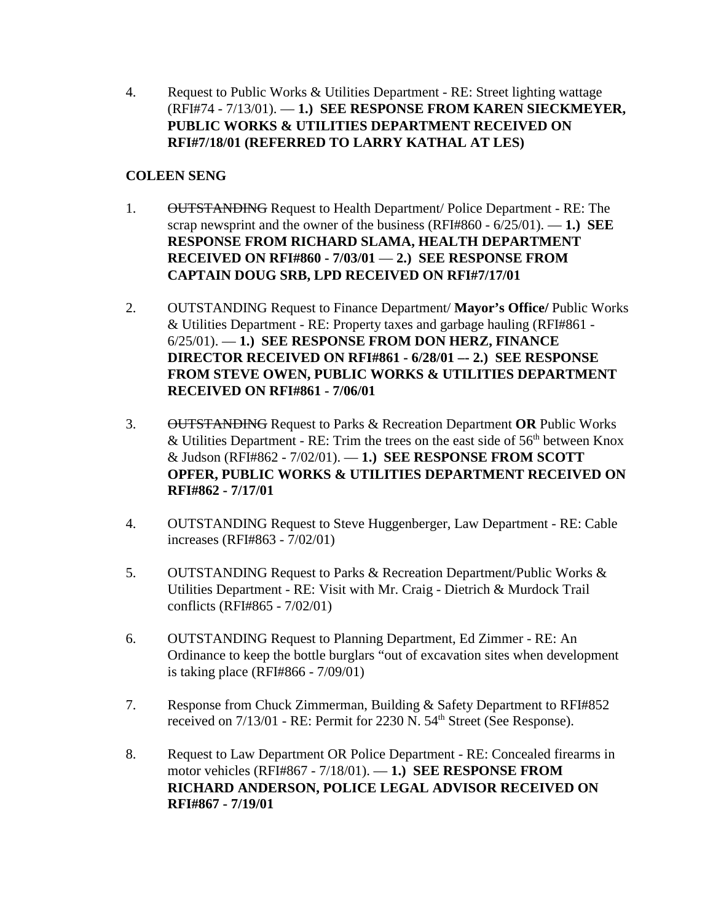4. Request to Public Works & Utilities Department - RE: Street lighting wattage (RFI#74 - 7/13/01). — **1.) SEE RESPONSE FROM KAREN SIECKMEYER, PUBLIC WORKS & UTILITIES DEPARTMENT RECEIVED ON RFI#7/18/01 (REFERRED TO LARRY KATHAL AT LES)**

# **COLEEN SENG**

- 1. OUTSTANDING Request to Health Department/ Police Department RE: The scrap newsprint and the owner of the business (RFI#860 - 6/25/01). — **1.) SEE RESPONSE FROM RICHARD SLAMA, HEALTH DEPARTMENT RECEIVED ON RFI#860 - 7/03/01** — **2.) SEE RESPONSE FROM CAPTAIN DOUG SRB, LPD RECEIVED ON RFI#7/17/01**
- 2. OUTSTANDING Request to Finance Department/ **Mayor's Office/** Public Works & Utilities Department - RE: Property taxes and garbage hauling (RFI#861 - 6/25/01). — **1.) SEE RESPONSE FROM DON HERZ, FINANCE DIRECTOR RECEIVED ON RFI#861 - 6/28/01 –- 2.) SEE RESPONSE FROM STEVE OWEN, PUBLIC WORKS & UTILITIES DEPARTMENT RECEIVED ON RFI#861 - 7/06/01**
- 3. OUTSTANDING Request to Parks & Recreation Department **OR** Public Works & Utilities Department - RE: Trim the trees on the east side of  $56<sup>th</sup>$  between Knox & Judson (RFI#862 - 7/02/01). — **1.) SEE RESPONSE FROM SCOTT OPFER, PUBLIC WORKS & UTILITIES DEPARTMENT RECEIVED ON RFI#862 - 7/17/01**
- 4. OUTSTANDING Request to Steve Huggenberger, Law Department RE: Cable increases (RFI#863 - 7/02/01)
- 5. OUTSTANDING Request to Parks & Recreation Department/Public Works & Utilities Department - RE: Visit with Mr. Craig - Dietrich & Murdock Trail conflicts (RFI#865 - 7/02/01)
- 6. OUTSTANDING Request to Planning Department, Ed Zimmer RE: An Ordinance to keep the bottle burglars "out of excavation sites when development is taking place (RFI#866 - 7/09/01)
- 7. Response from Chuck Zimmerman, Building & Safety Department to RFI#852 received on  $7/13/01$  - RE: Permit for 2230 N. 54<sup>th</sup> Street (See Response).
- 8. Request to Law Department OR Police Department RE: Concealed firearms in motor vehicles (RFI#867 - 7/18/01). — **1.) SEE RESPONSE FROM RICHARD ANDERSON, POLICE LEGAL ADVISOR RECEIVED ON RFI#867 - 7/19/01**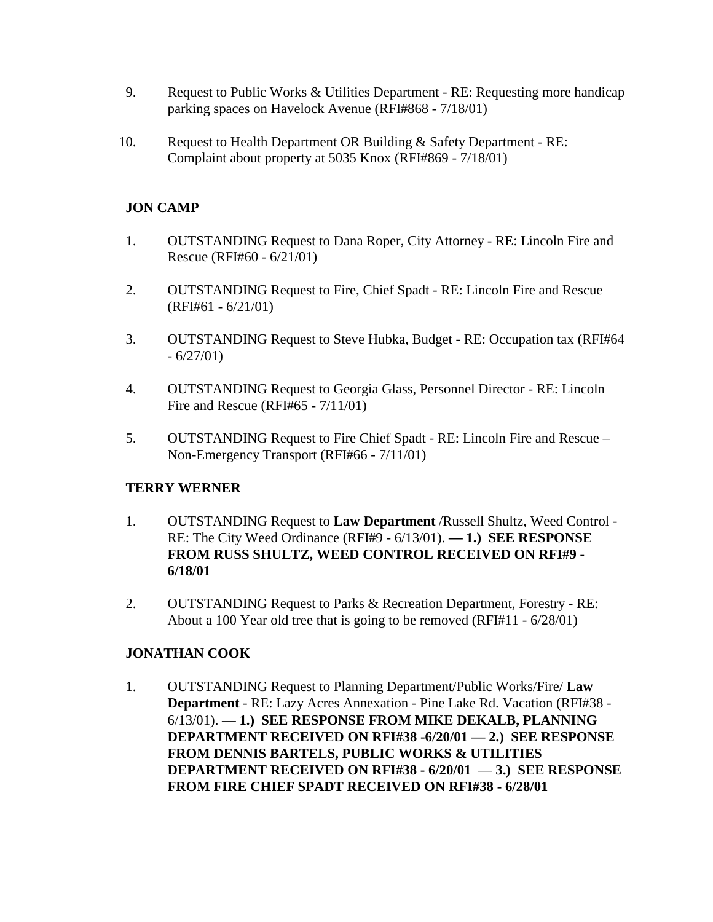- 9. Request to Public Works & Utilities Department RE: Requesting more handicap parking spaces on Havelock Avenue (RFI#868 - 7/18/01)
- 10. Request to Health Department OR Building & Safety Department RE: Complaint about property at 5035 Knox (RFI#869 - 7/18/01)

# **JON CAMP**

- 1. OUTSTANDING Request to Dana Roper, City Attorney RE: Lincoln Fire and Rescue (RFI#60 - 6/21/01)
- 2. OUTSTANDING Request to Fire, Chief Spadt RE: Lincoln Fire and Rescue (RFI#61 - 6/21/01)
- 3. OUTSTANDING Request to Steve Hubka, Budget RE: Occupation tax (RFI#64  $-6/27/01$
- 4. OUTSTANDING Request to Georgia Glass, Personnel Director RE: Lincoln Fire and Rescue (RFI#65 - 7/11/01)
- 5. OUTSTANDING Request to Fire Chief Spadt RE: Lincoln Fire and Rescue Non-Emergency Transport (RFI#66 - 7/11/01)

# **TERRY WERNER**

- 1. OUTSTANDING Request to **Law Department** /Russell Shultz, Weed Control RE: The City Weed Ordinance (RFI#9 - 6/13/01). **— 1.) SEE RESPONSE FROM RUSS SHULTZ, WEED CONTROL RECEIVED ON RFI#9 - 6/18/01**
- 2. OUTSTANDING Request to Parks & Recreation Department, Forestry RE: About a 100 Year old tree that is going to be removed (RFI#11 - 6/28/01)

# **JONATHAN COOK**

1. OUTSTANDING Request to Planning Department/Public Works/Fire/ **Law Department** - RE: Lazy Acres Annexation - Pine Lake Rd. Vacation (RFI#38 - 6/13/01). — **1.) SEE RESPONSE FROM MIKE DEKALB, PLANNING DEPARTMENT RECEIVED ON RFI#38 -6/20/01 — 2.) SEE RESPONSE FROM DENNIS BARTELS, PUBLIC WORKS & UTILITIES DEPARTMENT RECEIVED ON RFI#38 - 6/20/01** — **3.) SEE RESPONSE FROM FIRE CHIEF SPADT RECEIVED ON RFI#38 - 6/28/01**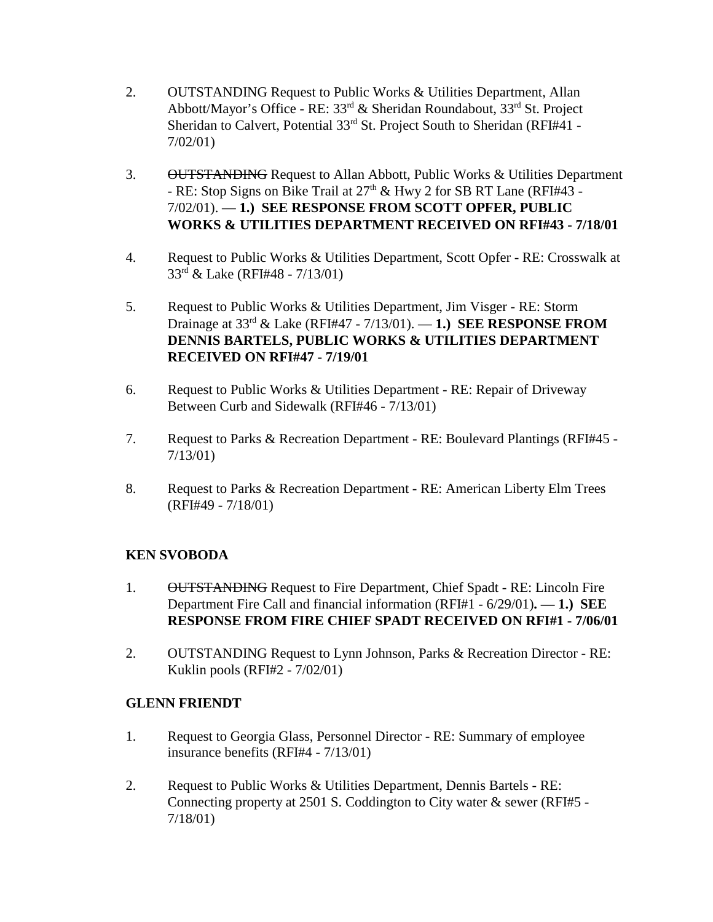- 2. OUTSTANDING Request to Public Works & Utilities Department, Allan Abbott/Mayor's Office - RE: 33rd & Sheridan Roundabout, 33rd St. Project Sheridan to Calvert, Potential 33<sup>rd</sup> St. Project South to Sheridan (RFI#41 -7/02/01)
- 3. OUTSTANDING Request to Allan Abbott, Public Works & Utilities Department - RE: Stop Signs on Bike Trail at  $27<sup>th</sup>$  & Hwy 2 for SB RT Lane (RFI#43 -7/02/01). — **1.) SEE RESPONSE FROM SCOTT OPFER, PUBLIC WORKS & UTILITIES DEPARTMENT RECEIVED ON RFI#43 - 7/18/01**
- 4. Request to Public Works & Utilities Department, Scott Opfer RE: Crosswalk at 33rd & Lake (RFI#48 - 7/13/01)
- 5. Request to Public Works & Utilities Department, Jim Visger RE: Storm Drainage at 33rd & Lake (RFI#47 - 7/13/01). — **1.) SEE RESPONSE FROM DENNIS BARTELS, PUBLIC WORKS & UTILITIES DEPARTMENT RECEIVED ON RFI#47 - 7/19/01**
- 6. Request to Public Works & Utilities Department RE: Repair of Driveway Between Curb and Sidewalk (RFI#46 - 7/13/01)
- 7. Request to Parks & Recreation Department RE: Boulevard Plantings (RFI#45 7/13/01)
- 8. Request to Parks & Recreation Department RE: American Liberty Elm Trees (RFI#49 - 7/18/01)

# **KEN SVOBODA**

- 1. OUTSTANDING Request to Fire Department, Chief Spadt RE: Lincoln Fire Department Fire Call and financial information (RFI#1 - 6/29/01)**. — 1.) SEE RESPONSE FROM FIRE CHIEF SPADT RECEIVED ON RFI#1 - 7/06/01**
- 2. OUTSTANDING Request to Lynn Johnson, Parks & Recreation Director RE: Kuklin pools (RFI#2 - 7/02/01)

# **GLENN FRIENDT**

- 1. Request to Georgia Glass, Personnel Director RE: Summary of employee insurance benefits (RFI#4 - 7/13/01)
- 2. Request to Public Works & Utilities Department, Dennis Bartels RE: Connecting property at 2501 S. Coddington to City water & sewer (RFI#5 - 7/18/01)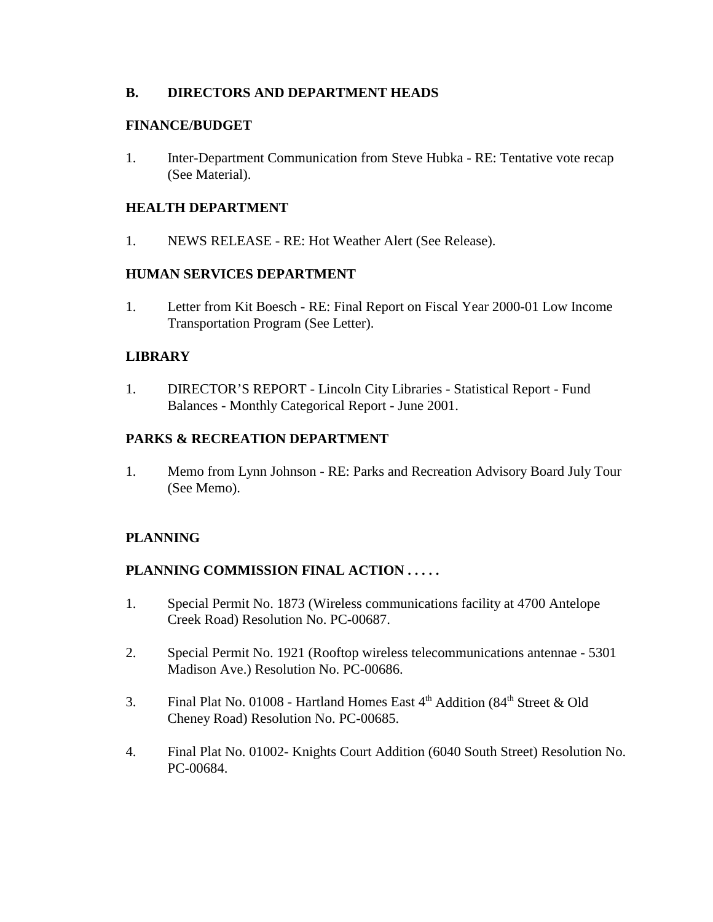# **B. DIRECTORS AND DEPARTMENT HEADS**

## **FINANCE/BUDGET**

1. Inter-Department Communication from Steve Hubka - RE: Tentative vote recap (See Material).

## **HEALTH DEPARTMENT**

1. NEWS RELEASE - RE: Hot Weather Alert (See Release).

## **HUMAN SERVICES DEPARTMENT**

1. Letter from Kit Boesch - RE: Final Report on Fiscal Year 2000-01 Low Income Transportation Program (See Letter).

## **LIBRARY**

1. DIRECTOR'S REPORT - Lincoln City Libraries - Statistical Report - Fund Balances - Monthly Categorical Report - June 2001.

# **PARKS & RECREATION DEPARTMENT**

1. Memo from Lynn Johnson - RE: Parks and Recreation Advisory Board July Tour (See Memo).

# **PLANNING**

# **PLANNING COMMISSION FINAL ACTION . . . . .**

- 1. Special Permit No. 1873 (Wireless communications facility at 4700 Antelope Creek Road) Resolution No. PC-00687.
- 2. Special Permit No. 1921 (Rooftop wireless telecommunications antennae 5301 Madison Ave.) Resolution No. PC-00686.
- 3. Final Plat No. 01008 Hartland Homes East  $4<sup>th</sup>$  Addition (84<sup>th</sup> Street & Old Cheney Road) Resolution No. PC-00685.
- 4. Final Plat No. 01002- Knights Court Addition (6040 South Street) Resolution No. PC-00684.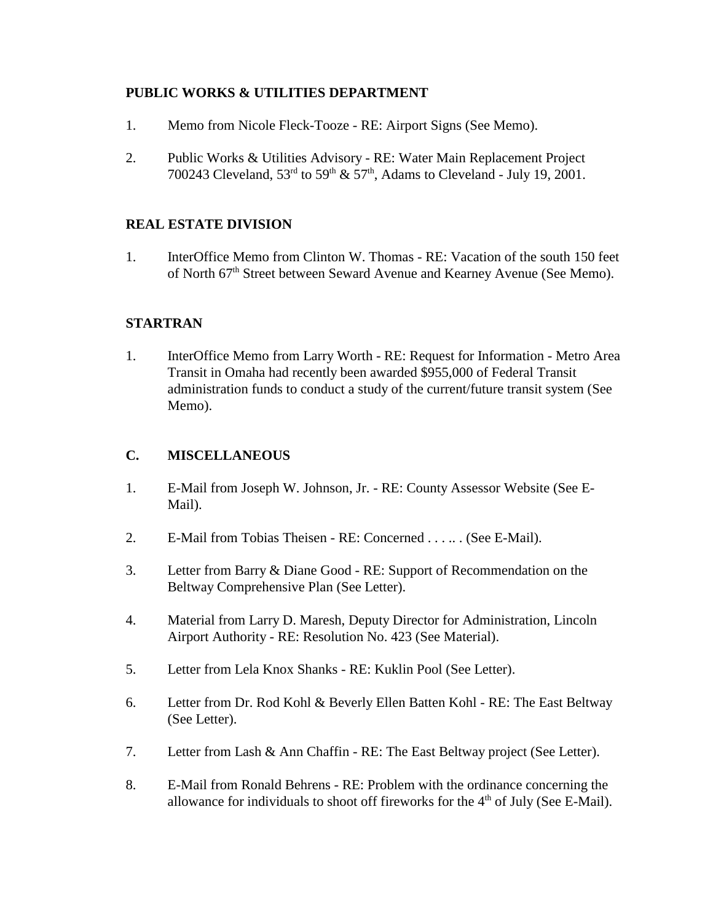# **PUBLIC WORKS & UTILITIES DEPARTMENT**

- 1. Memo from Nicole Fleck-Tooze RE: Airport Signs (See Memo).
- 2. Public Works & Utilities Advisory RE: Water Main Replacement Project 700243 Cleveland,  $53^{\text{rd}}$  to  $59^{\text{th}}$  &  $57^{\text{th}}$ , Adams to Cleveland - July 19, 2001.

# **REAL ESTATE DIVISION**

1. InterOffice Memo from Clinton W. Thomas - RE: Vacation of the south 150 feet of North 67<sup>th</sup> Street between Seward Avenue and Kearney Avenue (See Memo).

# **STARTRAN**

1. InterOffice Memo from Larry Worth - RE: Request for Information - Metro Area Transit in Omaha had recently been awarded \$955,000 of Federal Transit administration funds to conduct a study of the current/future transit system (See Memo).

# **C. MISCELLANEOUS**

- 1. E-Mail from Joseph W. Johnson, Jr. RE: County Assessor Website (See E-Mail).
- 2. E-Mail from Tobias Theisen RE: Concerned . . . .. . (See E-Mail).
- 3. Letter from Barry & Diane Good RE: Support of Recommendation on the Beltway Comprehensive Plan (See Letter).
- 4. Material from Larry D. Maresh, Deputy Director for Administration, Lincoln Airport Authority - RE: Resolution No. 423 (See Material).
- 5. Letter from Lela Knox Shanks RE: Kuklin Pool (See Letter).
- 6. Letter from Dr. Rod Kohl & Beverly Ellen Batten Kohl RE: The East Beltway (See Letter).
- 7. Letter from Lash & Ann Chaffin RE: The East Beltway project (See Letter).
- 8. E-Mail from Ronald Behrens RE: Problem with the ordinance concerning the allowance for individuals to shoot off fireworks for the  $4<sup>th</sup>$  of July (See E-Mail).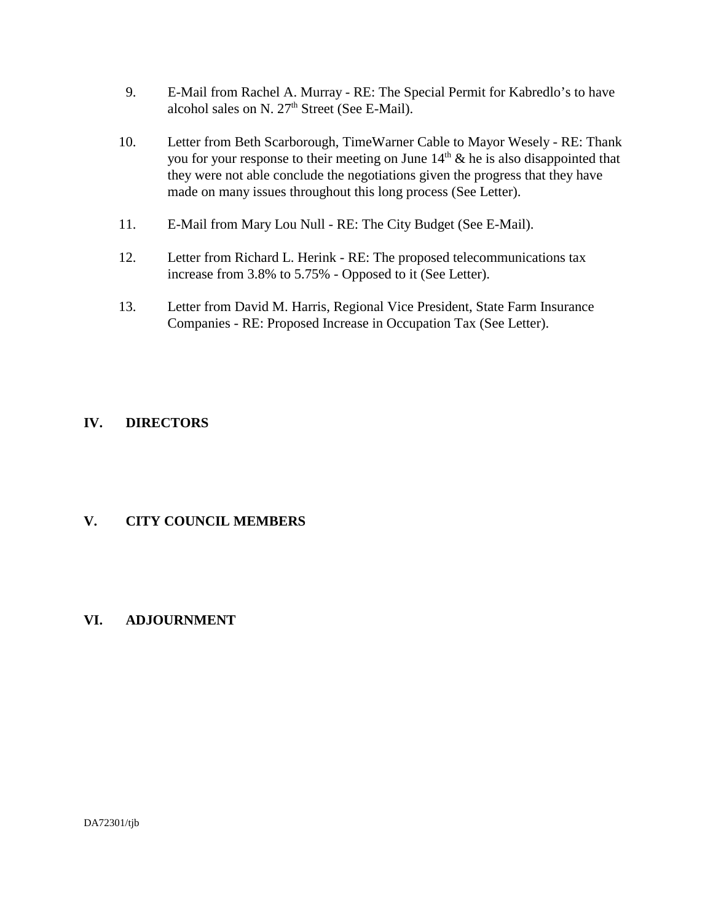- 9. E-Mail from Rachel A. Murray RE: The Special Permit for Kabredlo's to have alcohol sales on N.  $27<sup>th</sup>$  Street (See E-Mail).
- 10. Letter from Beth Scarborough, TimeWarner Cable to Mayor Wesely RE: Thank you for your response to their meeting on June  $14<sup>th</sup>$  & he is also disappointed that they were not able conclude the negotiations given the progress that they have made on many issues throughout this long process (See Letter).
- 11. E-Mail from Mary Lou Null RE: The City Budget (See E-Mail).
- 12. Letter from Richard L. Herink RE: The proposed telecommunications tax increase from 3.8% to 5.75% - Opposed to it (See Letter).
- 13. Letter from David M. Harris, Regional Vice President, State Farm Insurance Companies - RE: Proposed Increase in Occupation Tax (See Letter).

# **IV. DIRECTORS**

# **V. CITY COUNCIL MEMBERS**

# **VI. ADJOURNMENT**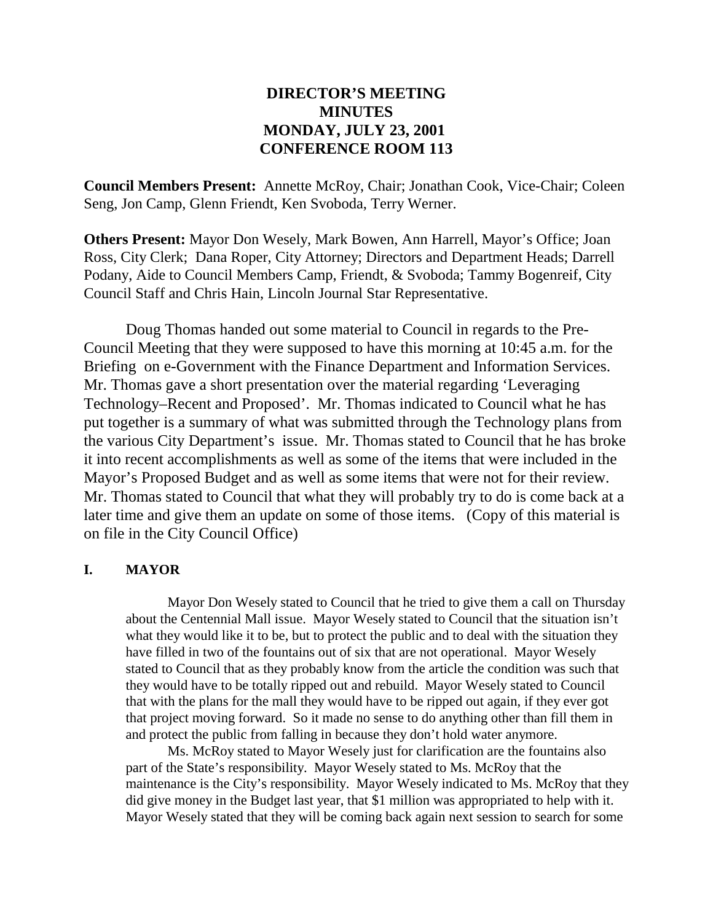# **DIRECTOR'S MEETING MINUTES MONDAY, JULY 23, 2001 CONFERENCE ROOM 113**

**Council Members Present:** Annette McRoy, Chair; Jonathan Cook, Vice-Chair; Coleen Seng, Jon Camp, Glenn Friendt, Ken Svoboda, Terry Werner.

**Others Present:** Mayor Don Wesely, Mark Bowen, Ann Harrell, Mayor's Office; Joan Ross, City Clerk; Dana Roper, City Attorney; Directors and Department Heads; Darrell Podany, Aide to Council Members Camp, Friendt, & Svoboda; Tammy Bogenreif, City Council Staff and Chris Hain, Lincoln Journal Star Representative.

Doug Thomas handed out some material to Council in regards to the Pre-Council Meeting that they were supposed to have this morning at 10:45 a.m. for the Briefing on e-Government with the Finance Department and Information Services. Mr. Thomas gave a short presentation over the material regarding 'Leveraging Technology–Recent and Proposed'. Mr. Thomas indicated to Council what he has put together is a summary of what was submitted through the Technology plans from the various City Department's issue. Mr. Thomas stated to Council that he has broke it into recent accomplishments as well as some of the items that were included in the Mayor's Proposed Budget and as well as some items that were not for their review. Mr. Thomas stated to Council that what they will probably try to do is come back at a later time and give them an update on some of those items. (Copy of this material is on file in the City Council Office)

## **I. MAYOR**

Mayor Don Wesely stated to Council that he tried to give them a call on Thursday about the Centennial Mall issue. Mayor Wesely stated to Council that the situation isn't what they would like it to be, but to protect the public and to deal with the situation they have filled in two of the fountains out of six that are not operational. Mayor Wesely stated to Council that as they probably know from the article the condition was such that they would have to be totally ripped out and rebuild. Mayor Wesely stated to Council that with the plans for the mall they would have to be ripped out again, if they ever got that project moving forward. So it made no sense to do anything other than fill them in and protect the public from falling in because they don't hold water anymore.

Ms. McRoy stated to Mayor Wesely just for clarification are the fountains also part of the State's responsibility. Mayor Wesely stated to Ms. McRoy that the maintenance is the City's responsibility. Mayor Wesely indicated to Ms. McRoy that they did give money in the Budget last year, that \$1 million was appropriated to help with it. Mayor Wesely stated that they will be coming back again next session to search for some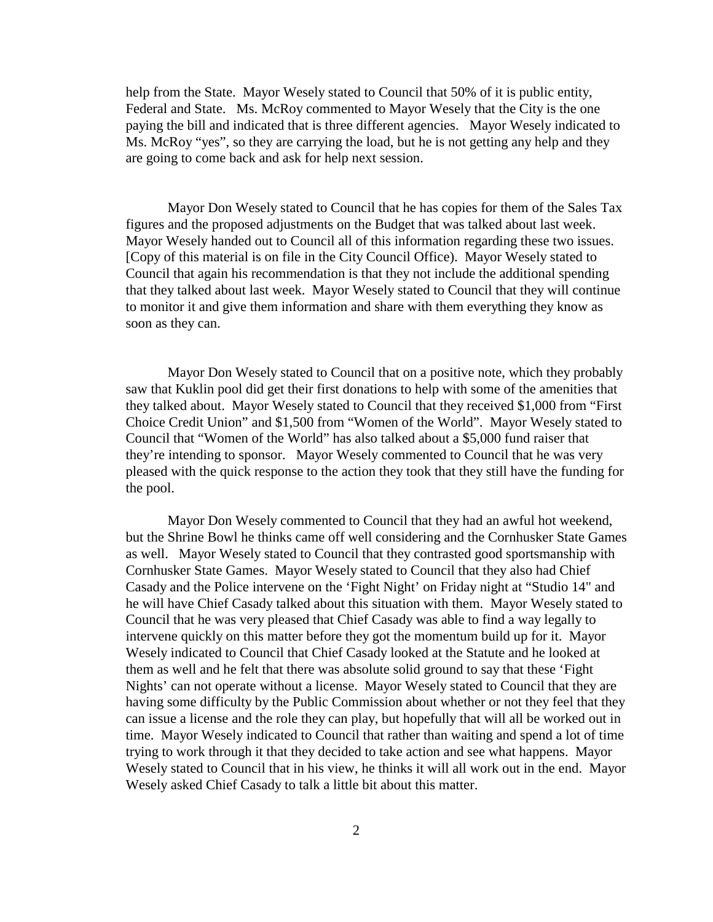help from the State. Mayor Wesely stated to Council that 50% of it is public entity, Federal and State. Ms. McRoy commented to Mayor Wesely that the City is the one paying the bill and indicated that is three different agencies. Mayor Wesely indicated to Ms. McRoy "yes", so they are carrying the load, but he is not getting any help and they are going to come back and ask for help next session.

Mayor Don Wesely stated to Council that he has copies for them of the Sales Tax figures and the proposed adjustments on the Budget that was talked about last week. Mayor Wesely handed out to Council all of this information regarding these two issues. [Copy of this material is on file in the City Council Office). Mayor Wesely stated to Council that again his recommendation is that they not include the additional spending that they talked about last week. Mayor Wesely stated to Council that they will continue to monitor it and give them information and share with them everything they know as soon as they can.

Mayor Don Wesely stated to Council that on a positive note, which they probably saw that Kuklin pool did get their first donations to help with some of the amenities that they talked about. Mayor Wesely stated to Council that they received \$1,000 from "First Choice Credit Union" and \$1,500 from "Women of the World". Mayor Wesely stated to Council that "Women of the World" has also talked about a \$5,000 fund raiser that they're intending to sponsor. Mayor Wesely commented to Council that he was very pleased with the quick response to the action they took that they still have the funding for the pool.

Mayor Don Wesely commented to Council that they had an awful hot weekend, but the Shrine Bowl he thinks came off well considering and the Cornhusker State Games as well. Mayor Wesely stated to Council that they contrasted good sportsmanship with Cornhusker State Games. Mayor Wesely stated to Council that they also had Chief Casady and the Police intervene on the 'Fight Night' on Friday night at "Studio 14" and he will have Chief Casady talked about this situation with them. Mayor Wesely stated to Council that he was very pleased that Chief Casady was able to find a way legally to intervene quickly on this matter before they got the momentum build up for it. Mayor Wesely indicated to Council that Chief Casady looked at the Statute and he looked at them as well and he felt that there was absolute solid ground to say that these 'Fight Nights' can not operate without a license. Mayor Wesely stated to Council that they are having some difficulty by the Public Commission about whether or not they feel that they can issue a license and the role they can play, but hopefully that will all be worked out in time. Mayor Wesely indicated to Council that rather than waiting and spend a lot of time trying to work through it that they decided to take action and see what happens. Mayor Wesely stated to Council that in his view, he thinks it will all work out in the end. Mayor Wesely asked Chief Casady to talk a little bit about this matter.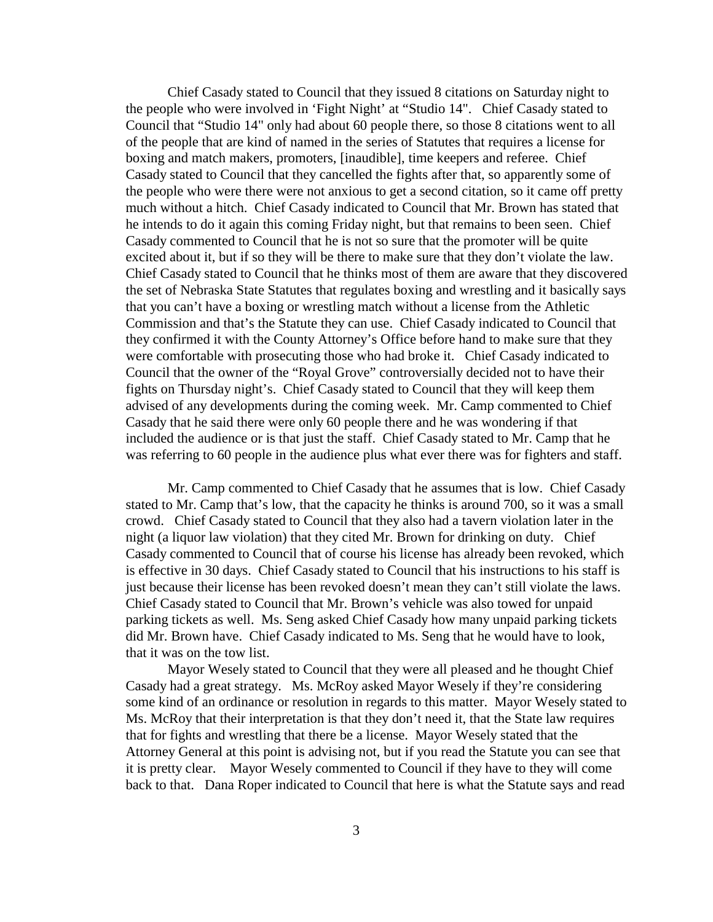Chief Casady stated to Council that they issued 8 citations on Saturday night to the people who were involved in 'Fight Night' at "Studio 14". Chief Casady stated to Council that "Studio 14" only had about 60 people there, so those 8 citations went to all of the people that are kind of named in the series of Statutes that requires a license for boxing and match makers, promoters, [inaudible], time keepers and referee. Chief Casady stated to Council that they cancelled the fights after that, so apparently some of the people who were there were not anxious to get a second citation, so it came off pretty much without a hitch. Chief Casady indicated to Council that Mr. Brown has stated that he intends to do it again this coming Friday night, but that remains to been seen. Chief Casady commented to Council that he is not so sure that the promoter will be quite excited about it, but if so they will be there to make sure that they don't violate the law. Chief Casady stated to Council that he thinks most of them are aware that they discovered the set of Nebraska State Statutes that regulates boxing and wrestling and it basically says that you can't have a boxing or wrestling match without a license from the Athletic Commission and that's the Statute they can use. Chief Casady indicated to Council that they confirmed it with the County Attorney's Office before hand to make sure that they were comfortable with prosecuting those who had broke it. Chief Casady indicated to Council that the owner of the "Royal Grove" controversially decided not to have their fights on Thursday night's. Chief Casady stated to Council that they will keep them advised of any developments during the coming week. Mr. Camp commented to Chief Casady that he said there were only 60 people there and he was wondering if that included the audience or is that just the staff. Chief Casady stated to Mr. Camp that he was referring to 60 people in the audience plus what ever there was for fighters and staff.

Mr. Camp commented to Chief Casady that he assumes that is low. Chief Casady stated to Mr. Camp that's low, that the capacity he thinks is around 700, so it was a small crowd. Chief Casady stated to Council that they also had a tavern violation later in the night (a liquor law violation) that they cited Mr. Brown for drinking on duty. Chief Casady commented to Council that of course his license has already been revoked, which is effective in 30 days. Chief Casady stated to Council that his instructions to his staff is just because their license has been revoked doesn't mean they can't still violate the laws. Chief Casady stated to Council that Mr. Brown's vehicle was also towed for unpaid parking tickets as well. Ms. Seng asked Chief Casady how many unpaid parking tickets did Mr. Brown have. Chief Casady indicated to Ms. Seng that he would have to look, that it was on the tow list.

Mayor Wesely stated to Council that they were all pleased and he thought Chief Casady had a great strategy. Ms. McRoy asked Mayor Wesely if they're considering some kind of an ordinance or resolution in regards to this matter. Mayor Wesely stated to Ms. McRoy that their interpretation is that they don't need it, that the State law requires that for fights and wrestling that there be a license. Mayor Wesely stated that the Attorney General at this point is advising not, but if you read the Statute you can see that it is pretty clear. Mayor Wesely commented to Council if they have to they will come back to that. Dana Roper indicated to Council that here is what the Statute says and read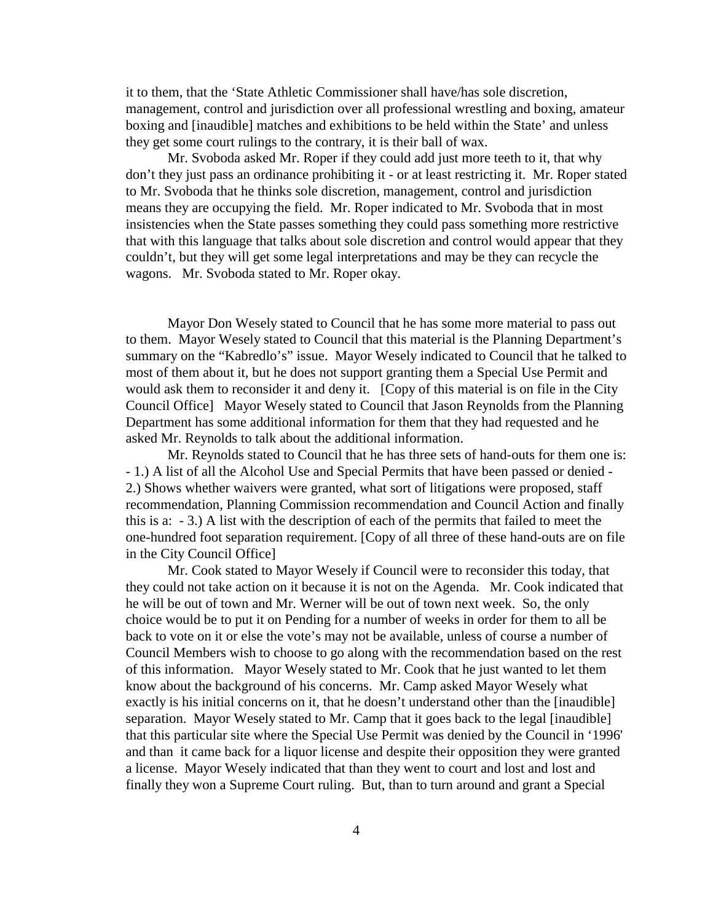it to them, that the 'State Athletic Commissioner shall have/has sole discretion, management, control and jurisdiction over all professional wrestling and boxing, amateur boxing and [inaudible] matches and exhibitions to be held within the State' and unless they get some court rulings to the contrary, it is their ball of wax.

Mr. Svoboda asked Mr. Roper if they could add just more teeth to it, that why don't they just pass an ordinance prohibiting it - or at least restricting it. Mr. Roper stated to Mr. Svoboda that he thinks sole discretion, management, control and jurisdiction means they are occupying the field. Mr. Roper indicated to Mr. Svoboda that in most insistencies when the State passes something they could pass something more restrictive that with this language that talks about sole discretion and control would appear that they couldn't, but they will get some legal interpretations and may be they can recycle the wagons. Mr. Svoboda stated to Mr. Roper okay.

Mayor Don Wesely stated to Council that he has some more material to pass out to them. Mayor Wesely stated to Council that this material is the Planning Department's summary on the "Kabredlo's" issue. Mayor Wesely indicated to Council that he talked to most of them about it, but he does not support granting them a Special Use Permit and would ask them to reconsider it and deny it. [Copy of this material is on file in the City Council Office] Mayor Wesely stated to Council that Jason Reynolds from the Planning Department has some additional information for them that they had requested and he asked Mr. Reynolds to talk about the additional information.

Mr. Reynolds stated to Council that he has three sets of hand-outs for them one is: - 1.) A list of all the Alcohol Use and Special Permits that have been passed or denied - 2.) Shows whether waivers were granted, what sort of litigations were proposed, staff recommendation, Planning Commission recommendation and Council Action and finally this is a: - 3.) A list with the description of each of the permits that failed to meet the one-hundred foot separation requirement. [Copy of all three of these hand-outs are on file in the City Council Office]

Mr. Cook stated to Mayor Wesely if Council were to reconsider this today, that they could not take action on it because it is not on the Agenda. Mr. Cook indicated that he will be out of town and Mr. Werner will be out of town next week. So, the only choice would be to put it on Pending for a number of weeks in order for them to all be back to vote on it or else the vote's may not be available, unless of course a number of Council Members wish to choose to go along with the recommendation based on the rest of this information. Mayor Wesely stated to Mr. Cook that he just wanted to let them know about the background of his concerns. Mr. Camp asked Mayor Wesely what exactly is his initial concerns on it, that he doesn't understand other than the [inaudible] separation. Mayor Wesely stated to Mr. Camp that it goes back to the legal [inaudible] that this particular site where the Special Use Permit was denied by the Council in '1996' and than it came back for a liquor license and despite their opposition they were granted a license. Mayor Wesely indicated that than they went to court and lost and lost and finally they won a Supreme Court ruling. But, than to turn around and grant a Special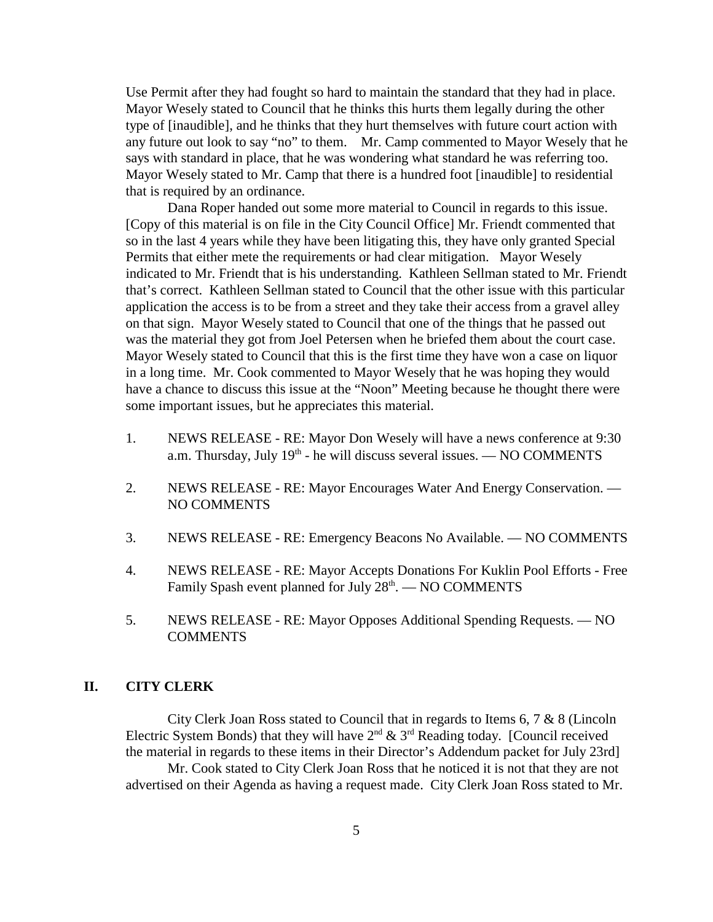Use Permit after they had fought so hard to maintain the standard that they had in place. Mayor Wesely stated to Council that he thinks this hurts them legally during the other type of [inaudible], and he thinks that they hurt themselves with future court action with any future out look to say "no" to them. Mr. Camp commented to Mayor Wesely that he says with standard in place, that he was wondering what standard he was referring too. Mayor Wesely stated to Mr. Camp that there is a hundred foot [inaudible] to residential that is required by an ordinance.

Dana Roper handed out some more material to Council in regards to this issue. [Copy of this material is on file in the City Council Office] Mr. Friendt commented that so in the last 4 years while they have been litigating this, they have only granted Special Permits that either mete the requirements or had clear mitigation. Mayor Wesely indicated to Mr. Friendt that is his understanding. Kathleen Sellman stated to Mr. Friendt that's correct. Kathleen Sellman stated to Council that the other issue with this particular application the access is to be from a street and they take their access from a gravel alley on that sign. Mayor Wesely stated to Council that one of the things that he passed out was the material they got from Joel Petersen when he briefed them about the court case. Mayor Wesely stated to Council that this is the first time they have won a case on liquor in a long time. Mr. Cook commented to Mayor Wesely that he was hoping they would have a chance to discuss this issue at the "Noon" Meeting because he thought there were some important issues, but he appreciates this material.

- 1. NEWS RELEASE RE: Mayor Don Wesely will have a news conference at 9:30 a.m. Thursday, July  $19<sup>th</sup>$  - he will discuss several issues. — NO COMMENTS
- 2. NEWS RELEASE RE: Mayor Encourages Water And Energy Conservation. NO COMMENTS
- 3. NEWS RELEASE RE: Emergency Beacons No Available. NO COMMENTS
- 4. NEWS RELEASE RE: Mayor Accepts Donations For Kuklin Pool Efforts Free Family Spash event planned for July  $28<sup>th</sup>$ .  $-$  NO COMMENTS
- 5. NEWS RELEASE RE: Mayor Opposes Additional Spending Requests. NO COMMENTS

## **II. CITY CLERK**

City Clerk Joan Ross stated to Council that in regards to Items 6, 7 & 8 (Lincoln Electric System Bonds) that they will have  $2<sup>nd</sup>$  &  $3<sup>rd</sup>$  Reading today. [Council received the material in regards to these items in their Director's Addendum packet for July 23rd] Mr. Cook stated to City Clerk Joan Ross that he noticed it is not that they are not advertised on their Agenda as having a request made. City Clerk Joan Ross stated to Mr.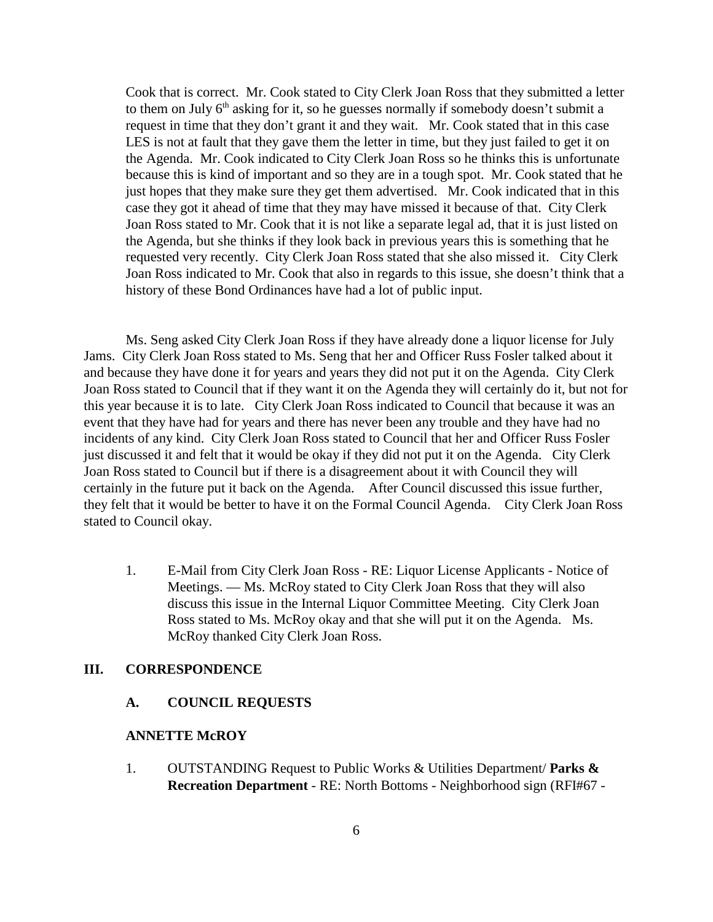Cook that is correct. Mr. Cook stated to City Clerk Joan Ross that they submitted a letter to them on July  $6<sup>th</sup>$  asking for it, so he guesses normally if somebody doesn't submit a request in time that they don't grant it and they wait. Mr. Cook stated that in this case LES is not at fault that they gave them the letter in time, but they just failed to get it on the Agenda. Mr. Cook indicated to City Clerk Joan Ross so he thinks this is unfortunate because this is kind of important and so they are in a tough spot. Mr. Cook stated that he just hopes that they make sure they get them advertised. Mr. Cook indicated that in this case they got it ahead of time that they may have missed it because of that. City Clerk Joan Ross stated to Mr. Cook that it is not like a separate legal ad, that it is just listed on the Agenda, but she thinks if they look back in previous years this is something that he requested very recently. City Clerk Joan Ross stated that she also missed it. City Clerk Joan Ross indicated to Mr. Cook that also in regards to this issue, she doesn't think that a history of these Bond Ordinances have had a lot of public input.

Ms. Seng asked City Clerk Joan Ross if they have already done a liquor license for July Jams. City Clerk Joan Ross stated to Ms. Seng that her and Officer Russ Fosler talked about it and because they have done it for years and years they did not put it on the Agenda. City Clerk Joan Ross stated to Council that if they want it on the Agenda they will certainly do it, but not for this year because it is to late. City Clerk Joan Ross indicated to Council that because it was an event that they have had for years and there has never been any trouble and they have had no incidents of any kind. City Clerk Joan Ross stated to Council that her and Officer Russ Fosler just discussed it and felt that it would be okay if they did not put it on the Agenda. City Clerk Joan Ross stated to Council but if there is a disagreement about it with Council they will certainly in the future put it back on the Agenda. After Council discussed this issue further, they felt that it would be better to have it on the Formal Council Agenda. City Clerk Joan Ross stated to Council okay.

1. E-Mail from City Clerk Joan Ross - RE: Liquor License Applicants - Notice of Meetings. — Ms. McRoy stated to City Clerk Joan Ross that they will also discuss this issue in the Internal Liquor Committee Meeting. City Clerk Joan Ross stated to Ms. McRoy okay and that she will put it on the Agenda. Ms. McRoy thanked City Clerk Joan Ross.

#### **III. CORRESPONDENCE**

## **A. COUNCIL REQUESTS**

## **ANNETTE McROY**

1. OUTSTANDING Request to Public Works & Utilities Department/ **Parks & Recreation Department** - RE: North Bottoms - Neighborhood sign (RFI#67 -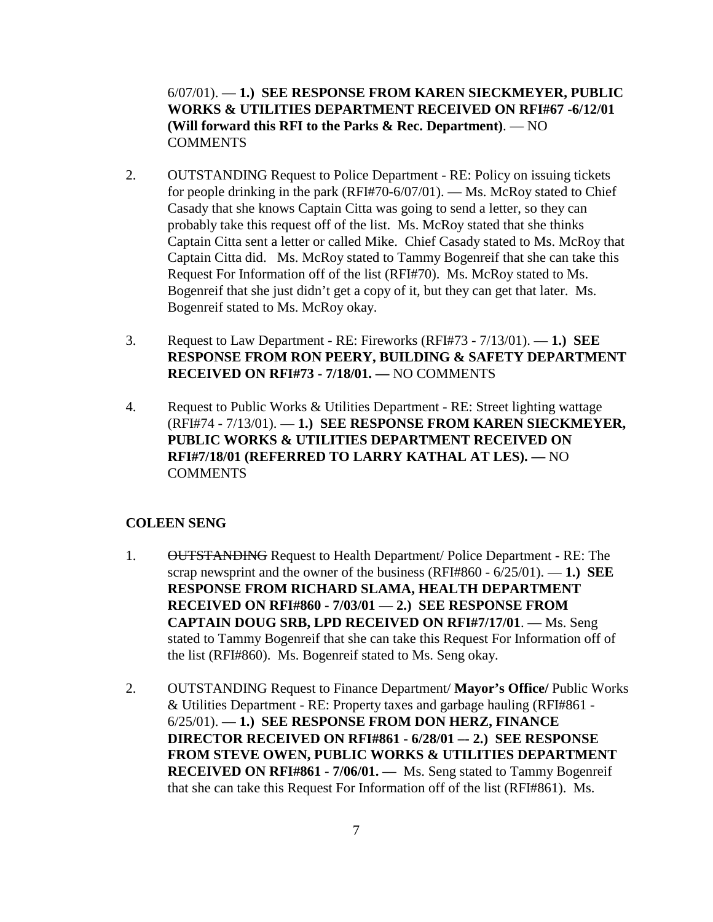6/07/01). — **1.) SEE RESPONSE FROM KAREN SIECKMEYER, PUBLIC WORKS & UTILITIES DEPARTMENT RECEIVED ON RFI#67 -6/12/01 (Will forward this RFI to the Parks & Rec. Department)**. — NO **COMMENTS** 

- 2. OUTSTANDING Request to Police Department RE: Policy on issuing tickets for people drinking in the park (RFI#70-6/07/01). — Ms. McRoy stated to Chief Casady that she knows Captain Citta was going to send a letter, so they can probably take this request off of the list. Ms. McRoy stated that she thinks Captain Citta sent a letter or called Mike. Chief Casady stated to Ms. McRoy that Captain Citta did. Ms. McRoy stated to Tammy Bogenreif that she can take this Request For Information off of the list (RFI#70). Ms. McRoy stated to Ms. Bogenreif that she just didn't get a copy of it, but they can get that later. Ms. Bogenreif stated to Ms. McRoy okay.
- 3. Request to Law Department RE: Fireworks (RFI#73 7/13/01). **1.) SEE RESPONSE FROM RON PEERY, BUILDING & SAFETY DEPARTMENT RECEIVED ON RFI#73 - 7/18/01. —** NO COMMENTS
- 4. Request to Public Works & Utilities Department RE: Street lighting wattage (RFI#74 - 7/13/01). — **1.) SEE RESPONSE FROM KAREN SIECKMEYER, PUBLIC WORKS & UTILITIES DEPARTMENT RECEIVED ON RFI#7/18/01 (REFERRED TO LARRY KATHAL AT LES). —** NO **COMMENTS**

#### **COLEEN SENG**

- 1. OUTSTANDING Request to Health Department/ Police Department RE: The scrap newsprint and the owner of the business (RFI#860 - 6/25/01). — **1.) SEE RESPONSE FROM RICHARD SLAMA, HEALTH DEPARTMENT RECEIVED ON RFI#860 - 7/03/01** — **2.) SEE RESPONSE FROM CAPTAIN DOUG SRB, LPD RECEIVED ON RFI#7/17/01**. — Ms. Seng stated to Tammy Bogenreif that she can take this Request For Information off of the list (RFI#860). Ms. Bogenreif stated to Ms. Seng okay.
- 2. OUTSTANDING Request to Finance Department/ **Mayor's Office/** Public Works & Utilities Department - RE: Property taxes and garbage hauling (RFI#861 - 6/25/01). — **1.) SEE RESPONSE FROM DON HERZ, FINANCE DIRECTOR RECEIVED ON RFI#861 - 6/28/01 –- 2.) SEE RESPONSE FROM STEVE OWEN, PUBLIC WORKS & UTILITIES DEPARTMENT RECEIVED ON RFI#861 - 7/06/01. —** Ms. Seng stated to Tammy Bogenreif that she can take this Request For Information off of the list (RFI#861). Ms.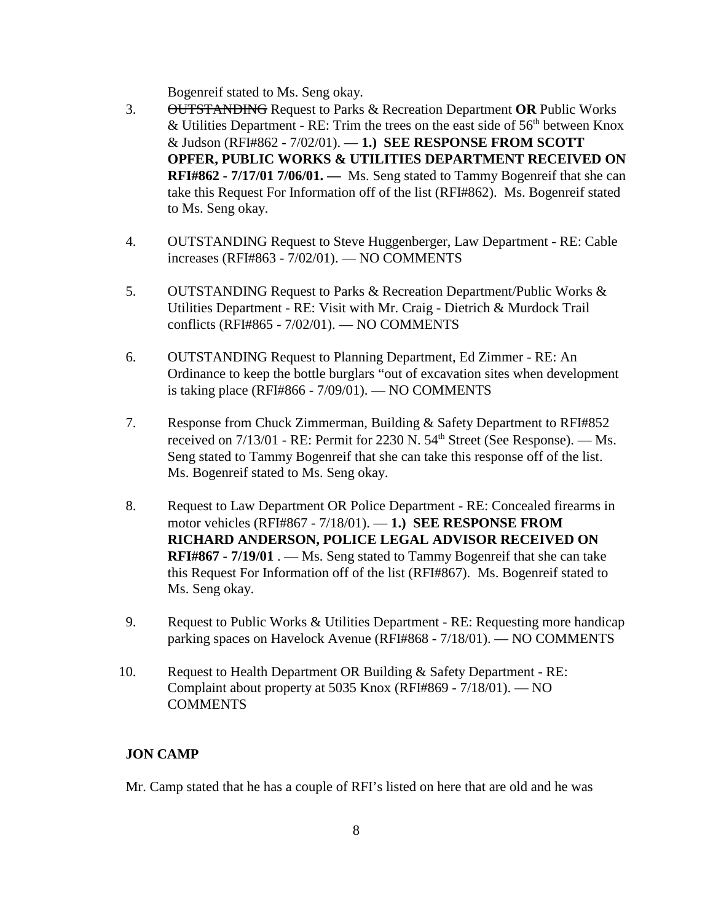Bogenreif stated to Ms. Seng okay.

- 3. OUTSTANDING Request to Parks & Recreation Department **OR** Public Works & Utilities Department - RE: Trim the trees on the east side of  $56<sup>th</sup>$  between Knox & Judson (RFI#862 - 7/02/01). — **1.) SEE RESPONSE FROM SCOTT OPFER, PUBLIC WORKS & UTILITIES DEPARTMENT RECEIVED ON RFI#862 - 7/17/01 7/06/01. —** Ms. Seng stated to Tammy Bogenreif that she can take this Request For Information off of the list (RFI#862). Ms. Bogenreif stated to Ms. Seng okay.
- 4. OUTSTANDING Request to Steve Huggenberger, Law Department RE: Cable increases (RFI#863 - 7/02/01). — NO COMMENTS
- 5. OUTSTANDING Request to Parks & Recreation Department/Public Works & Utilities Department - RE: Visit with Mr. Craig - Dietrich & Murdock Trail conflicts (RFI#865 - 7/02/01). — NO COMMENTS
- 6. OUTSTANDING Request to Planning Department, Ed Zimmer RE: An Ordinance to keep the bottle burglars "out of excavation sites when development is taking place (RFI#866 - 7/09/01). — NO COMMENTS
- 7. Response from Chuck Zimmerman, Building & Safety Department to RFI#852 received on  $7/13/01$  - RE: Permit for 2230 N.  $54<sup>th</sup>$  Street (See Response). — Ms. Seng stated to Tammy Bogenreif that she can take this response off of the list. Ms. Bogenreif stated to Ms. Seng okay.
- 8. Request to Law Department OR Police Department RE: Concealed firearms in motor vehicles (RFI#867 - 7/18/01). — **1.) SEE RESPONSE FROM RICHARD ANDERSON, POLICE LEGAL ADVISOR RECEIVED ON RFI#867 - 7/19/01** . — Ms. Seng stated to Tammy Bogenreif that she can take this Request For Information off of the list (RFI#867). Ms. Bogenreif stated to Ms. Seng okay.
- 9. Request to Public Works & Utilities Department RE: Requesting more handicap parking spaces on Havelock Avenue (RFI#868 - 7/18/01). — NO COMMENTS
- 10. Request to Health Department OR Building & Safety Department RE: Complaint about property at 5035 Knox (RFI#869 - 7/18/01). — NO **COMMENTS**

## **JON CAMP**

Mr. Camp stated that he has a couple of RFI's listed on here that are old and he was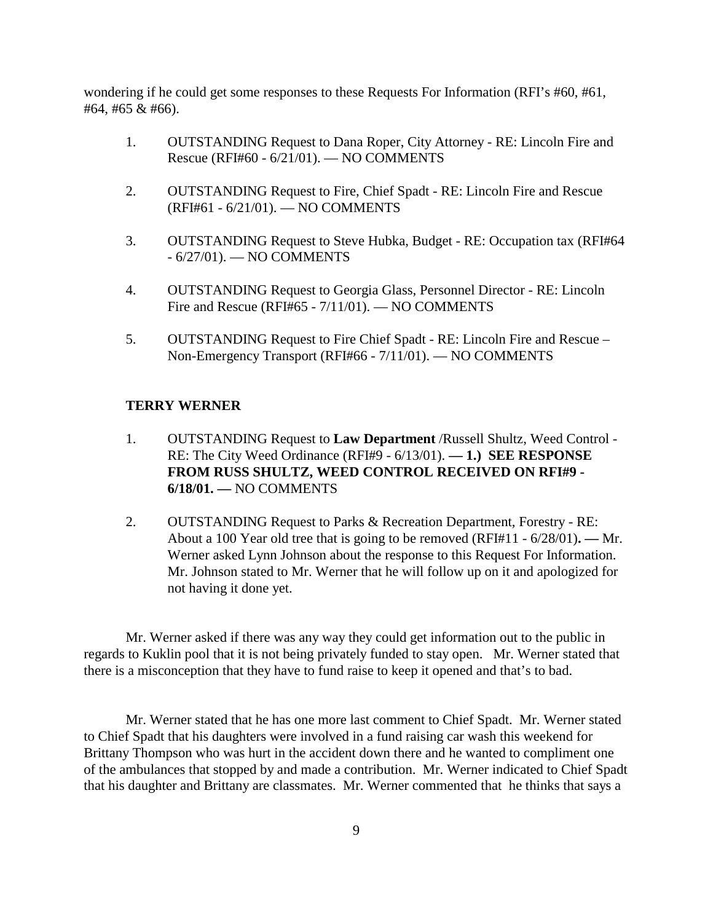wondering if he could get some responses to these Requests For Information (RFI's #60, #61, #64, #65 & #66).

- 1. OUTSTANDING Request to Dana Roper, City Attorney RE: Lincoln Fire and Rescue (RFI#60 - 6/21/01). — NO COMMENTS
- 2. OUTSTANDING Request to Fire, Chief Spadt RE: Lincoln Fire and Rescue (RFI#61 - 6/21/01). — NO COMMENTS
- 3. OUTSTANDING Request to Steve Hubka, Budget RE: Occupation tax (RFI#64 - 6/27/01). — NO COMMENTS
- 4. OUTSTANDING Request to Georgia Glass, Personnel Director RE: Lincoln Fire and Rescue (RFI#65 - 7/11/01). — NO COMMENTS
- 5. OUTSTANDING Request to Fire Chief Spadt RE: Lincoln Fire and Rescue Non-Emergency Transport (RFI#66 - 7/11/01). — NO COMMENTS

#### **TERRY WERNER**

- 1. OUTSTANDING Request to **Law Department** /Russell Shultz, Weed Control RE: The City Weed Ordinance (RFI#9 - 6/13/01). **— 1.) SEE RESPONSE FROM RUSS SHULTZ, WEED CONTROL RECEIVED ON RFI#9 - 6/18/01. —** NO COMMENTS
- 2. OUTSTANDING Request to Parks & Recreation Department, Forestry RE: About a 100 Year old tree that is going to be removed (RFI#11 - 6/28/01)**. —** Mr. Werner asked Lynn Johnson about the response to this Request For Information. Mr. Johnson stated to Mr. Werner that he will follow up on it and apologized for not having it done yet.

Mr. Werner asked if there was any way they could get information out to the public in regards to Kuklin pool that it is not being privately funded to stay open. Mr. Werner stated that there is a misconception that they have to fund raise to keep it opened and that's to bad.

Mr. Werner stated that he has one more last comment to Chief Spadt. Mr. Werner stated to Chief Spadt that his daughters were involved in a fund raising car wash this weekend for Brittany Thompson who was hurt in the accident down there and he wanted to compliment one of the ambulances that stopped by and made a contribution. Mr. Werner indicated to Chief Spadt that his daughter and Brittany are classmates. Mr. Werner commented that he thinks that says a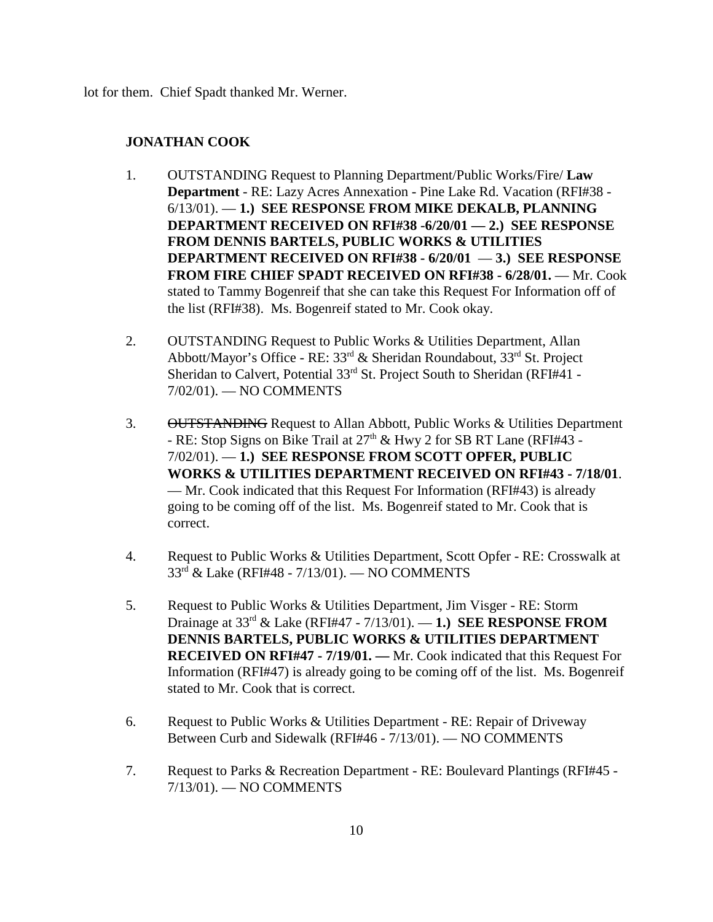lot for them. Chief Spadt thanked Mr. Werner.

#### **JONATHAN COOK**

- 1. OUTSTANDING Request to Planning Department/Public Works/Fire/ **Law Department** - RE: Lazy Acres Annexation - Pine Lake Rd. Vacation (RFI#38 - 6/13/01). — **1.) SEE RESPONSE FROM MIKE DEKALB, PLANNING DEPARTMENT RECEIVED ON RFI#38 -6/20/01 — 2.) SEE RESPONSE FROM DENNIS BARTELS, PUBLIC WORKS & UTILITIES DEPARTMENT RECEIVED ON RFI#38 - 6/20/01** — **3.) SEE RESPONSE FROM FIRE CHIEF SPADT RECEIVED ON RFI#38 - 6/28/01.** — Mr. Cook stated to Tammy Bogenreif that she can take this Request For Information off of the list (RFI#38). Ms. Bogenreif stated to Mr. Cook okay.
- 2. OUTSTANDING Request to Public Works & Utilities Department, Allan Abbott/Mayor's Office - RE: 33rd & Sheridan Roundabout, 33rd St. Project Sheridan to Calvert, Potential 33<sup>rd</sup> St. Project South to Sheridan (RFI#41 -7/02/01). — NO COMMENTS
- 3. OUTSTANDING Request to Allan Abbott, Public Works & Utilities Department - RE: Stop Signs on Bike Trail at  $27<sup>th</sup>$  & Hwy 2 for SB RT Lane (RFI#43 -7/02/01). — **1.) SEE RESPONSE FROM SCOTT OPFER, PUBLIC WORKS & UTILITIES DEPARTMENT RECEIVED ON RFI#43 - 7/18/01**. — Mr. Cook indicated that this Request For Information (RFI#43) is already going to be coming off of the list. Ms. Bogenreif stated to Mr. Cook that is correct.
- 4. Request to Public Works & Utilities Department, Scott Opfer RE: Crosswalk at 33rd & Lake (RFI#48 - 7/13/01). — NO COMMENTS
- 5. Request to Public Works & Utilities Department, Jim Visger RE: Storm Drainage at 33rd & Lake (RFI#47 - 7/13/01). — **1.) SEE RESPONSE FROM DENNIS BARTELS, PUBLIC WORKS & UTILITIES DEPARTMENT RECEIVED ON RFI#47 - 7/19/01. —** Mr. Cook indicated that this Request For Information (RFI#47) is already going to be coming off of the list. Ms. Bogenreif stated to Mr. Cook that is correct.
- 6. Request to Public Works & Utilities Department RE: Repair of Driveway Between Curb and Sidewalk (RFI#46 - 7/13/01). — NO COMMENTS
- 7. Request to Parks & Recreation Department RE: Boulevard Plantings (RFI#45 7/13/01). — NO COMMENTS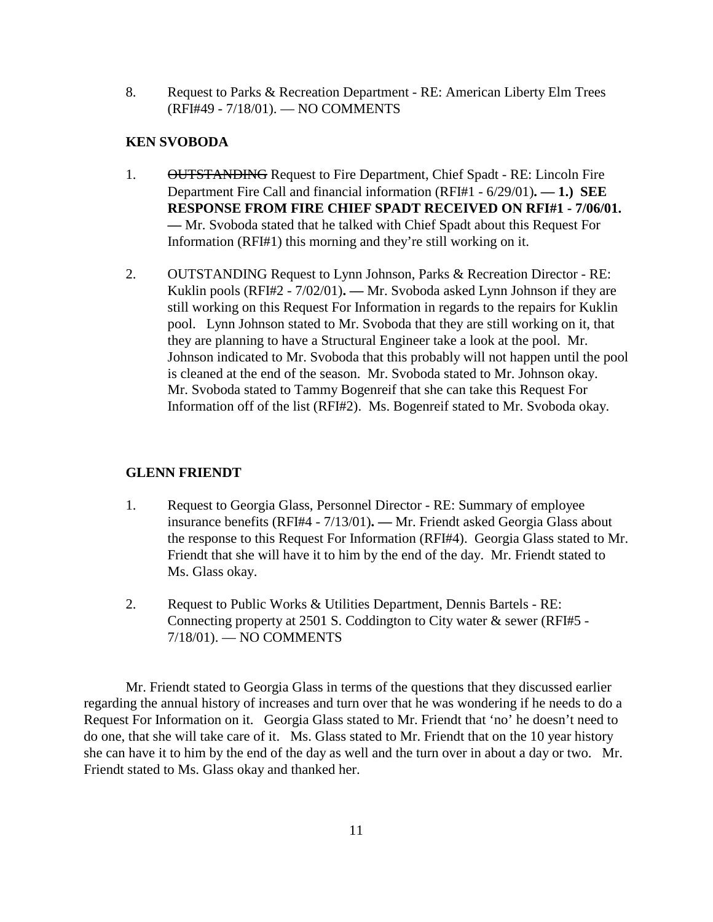8. Request to Parks & Recreation Department - RE: American Liberty Elm Trees (RFI#49 - 7/18/01). — NO COMMENTS

## **KEN SVOBODA**

- 1. OUTSTANDING Request to Fire Department, Chief Spadt RE: Lincoln Fire Department Fire Call and financial information (RFI#1 - 6/29/01)**. — 1.) SEE RESPONSE FROM FIRE CHIEF SPADT RECEIVED ON RFI#1 - 7/06/01. —** Mr. Svoboda stated that he talked with Chief Spadt about this Request For Information (RFI#1) this morning and they're still working on it.
- 2. OUTSTANDING Request to Lynn Johnson, Parks & Recreation Director RE: Kuklin pools (RFI#2 - 7/02/01)**. —** Mr. Svoboda asked Lynn Johnson if they are still working on this Request For Information in regards to the repairs for Kuklin pool. Lynn Johnson stated to Mr. Svoboda that they are still working on it, that they are planning to have a Structural Engineer take a look at the pool. Mr. Johnson indicated to Mr. Svoboda that this probably will not happen until the pool is cleaned at the end of the season. Mr. Svoboda stated to Mr. Johnson okay. Mr. Svoboda stated to Tammy Bogenreif that she can take this Request For Information off of the list (RFI#2). Ms. Bogenreif stated to Mr. Svoboda okay.

## **GLENN FRIENDT**

- 1. Request to Georgia Glass, Personnel Director RE: Summary of employee insurance benefits (RFI#4 - 7/13/01)**. —** Mr. Friendt asked Georgia Glass about the response to this Request For Information (RFI#4). Georgia Glass stated to Mr. Friendt that she will have it to him by the end of the day. Mr. Friendt stated to Ms. Glass okay.
- 2. Request to Public Works & Utilities Department, Dennis Bartels RE: Connecting property at 2501 S. Coddington to City water & sewer (RFI#5 - 7/18/01). — NO COMMENTS

Mr. Friendt stated to Georgia Glass in terms of the questions that they discussed earlier regarding the annual history of increases and turn over that he was wondering if he needs to do a Request For Information on it. Georgia Glass stated to Mr. Friendt that 'no' he doesn't need to do one, that she will take care of it. Ms. Glass stated to Mr. Friendt that on the 10 year history she can have it to him by the end of the day as well and the turn over in about a day or two. Mr. Friendt stated to Ms. Glass okay and thanked her.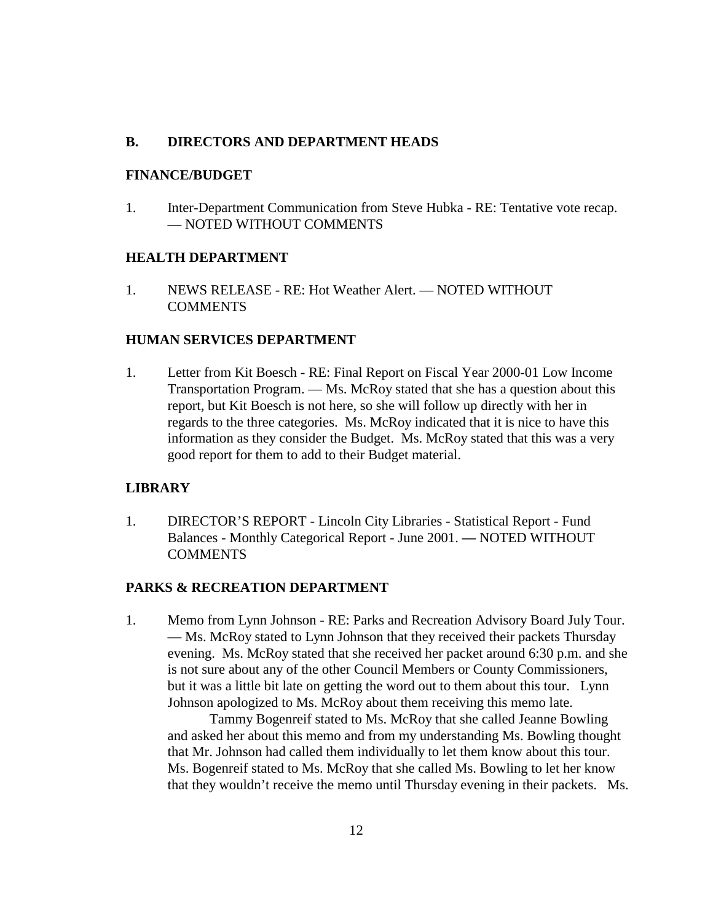#### **B. DIRECTORS AND DEPARTMENT HEADS**

#### **FINANCE/BUDGET**

1. Inter-Department Communication from Steve Hubka - RE: Tentative vote recap. — NOTED WITHOUT COMMENTS

## **HEALTH DEPARTMENT**

1. NEWS RELEASE - RE: Hot Weather Alert. — NOTED WITHOUT **COMMENTS** 

### **HUMAN SERVICES DEPARTMENT**

1. Letter from Kit Boesch - RE: Final Report on Fiscal Year 2000-01 Low Income Transportation Program. — Ms. McRoy stated that she has a question about this report, but Kit Boesch is not here, so she will follow up directly with her in regards to the three categories. Ms. McRoy indicated that it is nice to have this information as they consider the Budget. Ms. McRoy stated that this was a very good report for them to add to their Budget material.

#### **LIBRARY**

1. DIRECTOR'S REPORT - Lincoln City Libraries - Statistical Report - Fund Balances - Monthly Categorical Report - June 2001. **—** NOTED WITHOUT **COMMENTS** 

#### **PARKS & RECREATION DEPARTMENT**

1. Memo from Lynn Johnson - RE: Parks and Recreation Advisory Board July Tour. — Ms. McRoy stated to Lynn Johnson that they received their packets Thursday evening. Ms. McRoy stated that she received her packet around 6:30 p.m. and she is not sure about any of the other Council Members or County Commissioners, but it was a little bit late on getting the word out to them about this tour. Lynn Johnson apologized to Ms. McRoy about them receiving this memo late.

Tammy Bogenreif stated to Ms. McRoy that she called Jeanne Bowling and asked her about this memo and from my understanding Ms. Bowling thought that Mr. Johnson had called them individually to let them know about this tour. Ms. Bogenreif stated to Ms. McRoy that she called Ms. Bowling to let her know that they wouldn't receive the memo until Thursday evening in their packets. Ms.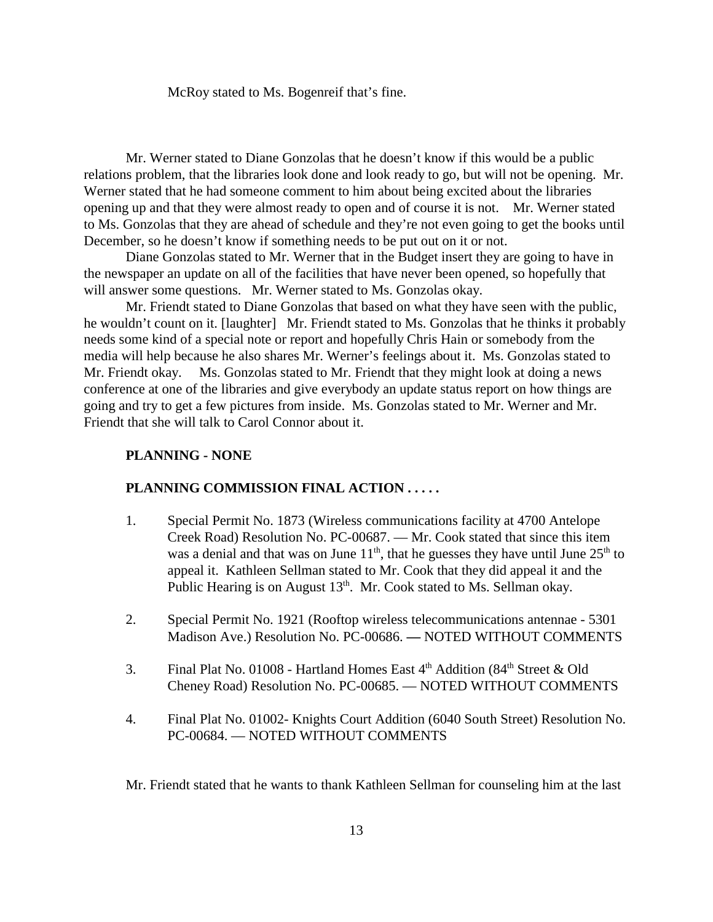McRoy stated to Ms. Bogenreif that's fine.

Mr. Werner stated to Diane Gonzolas that he doesn't know if this would be a public relations problem, that the libraries look done and look ready to go, but will not be opening. Mr. Werner stated that he had someone comment to him about being excited about the libraries opening up and that they were almost ready to open and of course it is not. Mr. Werner stated to Ms. Gonzolas that they are ahead of schedule and they're not even going to get the books until December, so he doesn't know if something needs to be put out on it or not.

Diane Gonzolas stated to Mr. Werner that in the Budget insert they are going to have in the newspaper an update on all of the facilities that have never been opened, so hopefully that will answer some questions. Mr. Werner stated to Ms. Gonzolas okay.

Mr. Friendt stated to Diane Gonzolas that based on what they have seen with the public, he wouldn't count on it. [laughter] Mr. Friendt stated to Ms. Gonzolas that he thinks it probably needs some kind of a special note or report and hopefully Chris Hain or somebody from the media will help because he also shares Mr. Werner's feelings about it. Ms. Gonzolas stated to Mr. Friendt okay. Ms. Gonzolas stated to Mr. Friendt that they might look at doing a news conference at one of the libraries and give everybody an update status report on how things are going and try to get a few pictures from inside. Ms. Gonzolas stated to Mr. Werner and Mr. Friendt that she will talk to Carol Connor about it.

#### **PLANNING - NONE**

#### **PLANNING COMMISSION FINAL ACTION . . . . .**

- 1. Special Permit No. 1873 (Wireless communications facility at 4700 Antelope Creek Road) Resolution No. PC-00687. — Mr. Cook stated that since this item was a denial and that was on June  $11<sup>th</sup>$ , that he guesses they have until June  $25<sup>th</sup>$  to appeal it. Kathleen Sellman stated to Mr. Cook that they did appeal it and the Public Hearing is on August  $13<sup>th</sup>$ . Mr. Cook stated to Ms. Sellman okay.
- 2. Special Permit No. 1921 (Rooftop wireless telecommunications antennae 5301 Madison Ave.) Resolution No. PC-00686. **—** NOTED WITHOUT COMMENTS
- 3. Final Plat No. 01008 Hartland Homes East  $4<sup>th</sup>$  Addition (84<sup>th</sup> Street & Old Cheney Road) Resolution No. PC-00685. — NOTED WITHOUT COMMENTS
- 4. Final Plat No. 01002- Knights Court Addition (6040 South Street) Resolution No. PC-00684. — NOTED WITHOUT COMMENTS

Mr. Friendt stated that he wants to thank Kathleen Sellman for counseling him at the last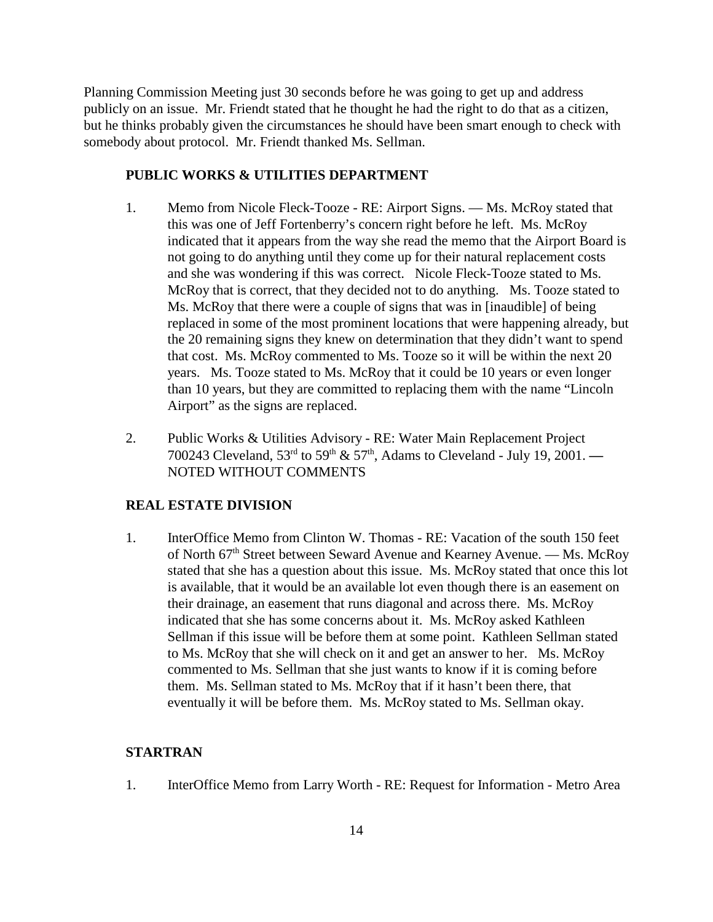Planning Commission Meeting just 30 seconds before he was going to get up and address publicly on an issue. Mr. Friendt stated that he thought he had the right to do that as a citizen, but he thinks probably given the circumstances he should have been smart enough to check with somebody about protocol. Mr. Friendt thanked Ms. Sellman.

## **PUBLIC WORKS & UTILITIES DEPARTMENT**

- 1. Memo from Nicole Fleck-Tooze RE: Airport Signs. Ms. McRoy stated that this was one of Jeff Fortenberry's concern right before he left. Ms. McRoy indicated that it appears from the way she read the memo that the Airport Board is not going to do anything until they come up for their natural replacement costs and she was wondering if this was correct. Nicole Fleck-Tooze stated to Ms. McRoy that is correct, that they decided not to do anything. Ms. Tooze stated to Ms. McRoy that there were a couple of signs that was in [inaudible] of being replaced in some of the most prominent locations that were happening already, but the 20 remaining signs they knew on determination that they didn't want to spend that cost. Ms. McRoy commented to Ms. Tooze so it will be within the next 20 years. Ms. Tooze stated to Ms. McRoy that it could be 10 years or even longer than 10 years, but they are committed to replacing them with the name "Lincoln Airport" as the signs are replaced.
- 2. Public Works & Utilities Advisory RE: Water Main Replacement Project 700243 Cleveland, 53rd to 59th & 57th, Adams to Cleveland - July 19, 2001. **—** NOTED WITHOUT COMMENTS

## **REAL ESTATE DIVISION**

1. InterOffice Memo from Clinton W. Thomas - RE: Vacation of the south 150 feet of North 67<sup>th</sup> Street between Seward Avenue and Kearney Avenue. — Ms. McRoy stated that she has a question about this issue. Ms. McRoy stated that once this lot is available, that it would be an available lot even though there is an easement on their drainage, an easement that runs diagonal and across there. Ms. McRoy indicated that she has some concerns about it. Ms. McRoy asked Kathleen Sellman if this issue will be before them at some point. Kathleen Sellman stated to Ms. McRoy that she will check on it and get an answer to her. Ms. McRoy commented to Ms. Sellman that she just wants to know if it is coming before them. Ms. Sellman stated to Ms. McRoy that if it hasn't been there, that eventually it will be before them. Ms. McRoy stated to Ms. Sellman okay.

## **STARTRAN**

1. InterOffice Memo from Larry Worth - RE: Request for Information - Metro Area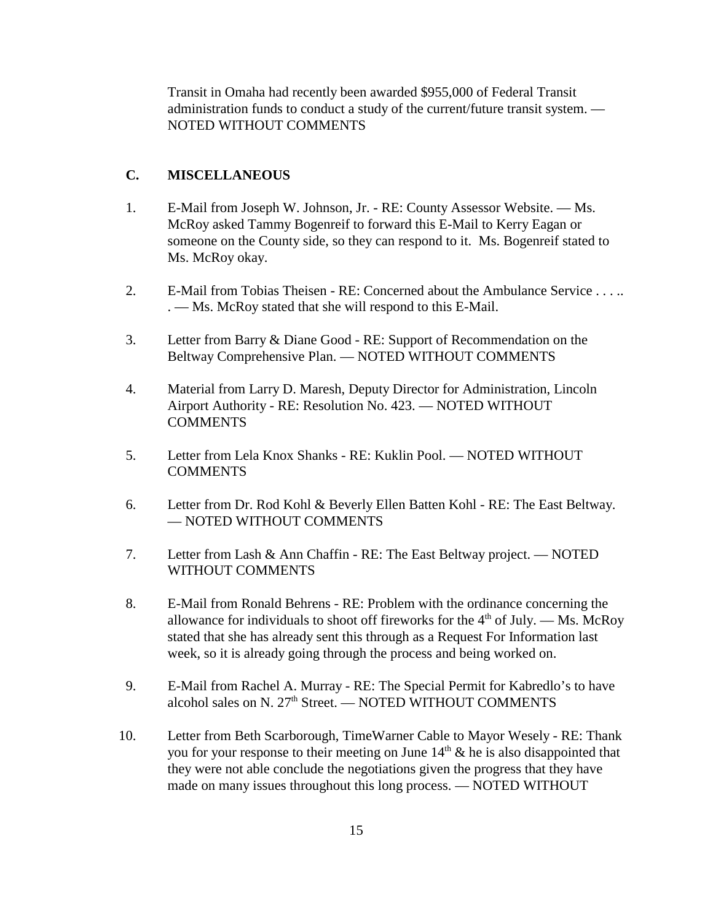Transit in Omaha had recently been awarded \$955,000 of Federal Transit administration funds to conduct a study of the current/future transit system. — NOTED WITHOUT COMMENTS

## **C. MISCELLANEOUS**

- 1. E-Mail from Joseph W. Johnson, Jr. RE: County Assessor Website. Ms. McRoy asked Tammy Bogenreif to forward this E-Mail to Kerry Eagan or someone on the County side, so they can respond to it. Ms. Bogenreif stated to Ms. McRoy okay.
- 2. E-Mail from Tobias Theisen RE: Concerned about the Ambulance Service . . . .. . — Ms. McRoy stated that she will respond to this E-Mail.
- 3. Letter from Barry & Diane Good RE: Support of Recommendation on the Beltway Comprehensive Plan. — NOTED WITHOUT COMMENTS
- 4. Material from Larry D. Maresh, Deputy Director for Administration, Lincoln Airport Authority - RE: Resolution No. 423. — NOTED WITHOUT **COMMENTS**
- 5. Letter from Lela Knox Shanks RE: Kuklin Pool. NOTED WITHOUT COMMENTS
- 6. Letter from Dr. Rod Kohl & Beverly Ellen Batten Kohl RE: The East Beltway. — NOTED WITHOUT COMMENTS
- 7. Letter from Lash & Ann Chaffin RE: The East Beltway project. NOTED WITHOUT COMMENTS
- 8. E-Mail from Ronald Behrens RE: Problem with the ordinance concerning the allowance for individuals to shoot off fireworks for the  $4<sup>th</sup>$  of July. — Ms. McRoy stated that she has already sent this through as a Request For Information last week, so it is already going through the process and being worked on.
- 9. E-Mail from Rachel A. Murray RE: The Special Permit for Kabredlo's to have alcohol sales on N.  $27<sup>th</sup>$  Street. — NOTED WITHOUT COMMENTS
- 10. Letter from Beth Scarborough, TimeWarner Cable to Mayor Wesely RE: Thank you for your response to their meeting on June  $14<sup>th</sup>$  & he is also disappointed that they were not able conclude the negotiations given the progress that they have made on many issues throughout this long process. — NOTED WITHOUT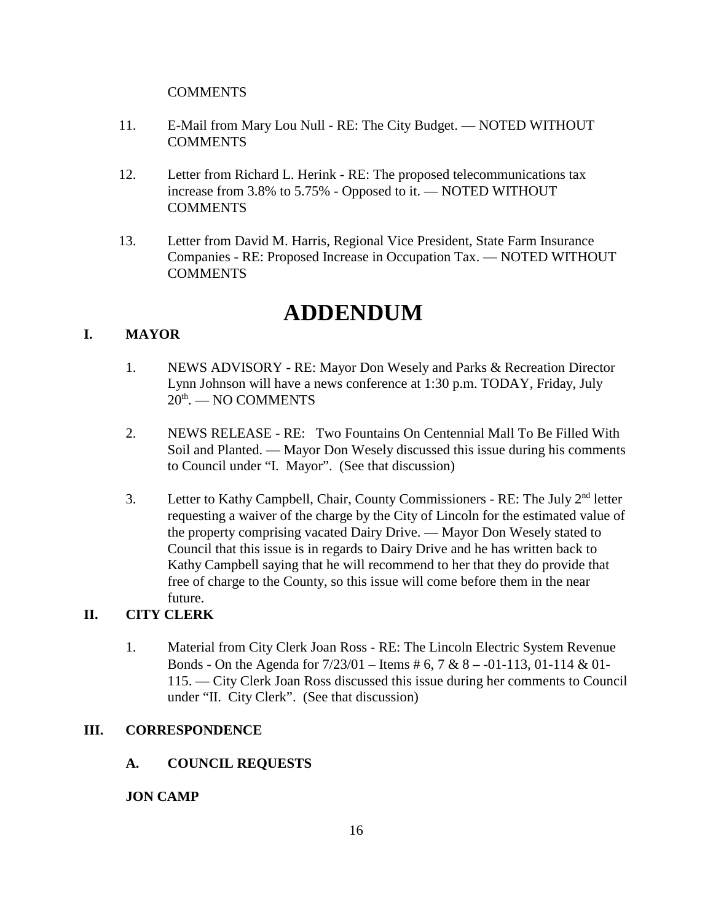## **COMMENTS**

- 11. E-Mail from Mary Lou Null RE: The City Budget. NOTED WITHOUT **COMMENTS**
- 12. Letter from Richard L. Herink RE: The proposed telecommunications tax increase from 3.8% to 5.75% - Opposed to it. — NOTED WITHOUT **COMMENTS**
- 13. Letter from David M. Harris, Regional Vice President, State Farm Insurance Companies - RE: Proposed Increase in Occupation Tax. — NOTED WITHOUT **COMMENTS**

# **ADDENDUM**

## **I. MAYOR**

- 1. NEWS ADVISORY RE: Mayor Don Wesely and Parks & Recreation Director Lynn Johnson will have a news conference at 1:30 p.m. TODAY, Friday, July 20<sup>th</sup>. — NO COMMENTS
- 2. NEWS RELEASE RE: Two Fountains On Centennial Mall To Be Filled With Soil and Planted. — Mayor Don Wesely discussed this issue during his comments to Council under "I. Mayor". (See that discussion)
- 3. Letter to Kathy Campbell, Chair, County Commissioners RE: The July 2<sup>nd</sup> letter requesting a waiver of the charge by the City of Lincoln for the estimated value of the property comprising vacated Dairy Drive. — Mayor Don Wesely stated to Council that this issue is in regards to Dairy Drive and he has written back to Kathy Campbell saying that he will recommend to her that they do provide that free of charge to the County, so this issue will come before them in the near future.

# **II. CITY CLERK**

1. Material from City Clerk Joan Ross - RE: The Lincoln Electric System Revenue Bonds - On the Agenda for 7/23/01 – Items # 6, 7 & 8 **–** -01-113, 01-114 & 01- 115. — City Clerk Joan Ross discussed this issue during her comments to Council under "II. City Clerk". (See that discussion)

## **III. CORRESPONDENCE**

## **A. COUNCIL REQUESTS**

## **JON CAMP**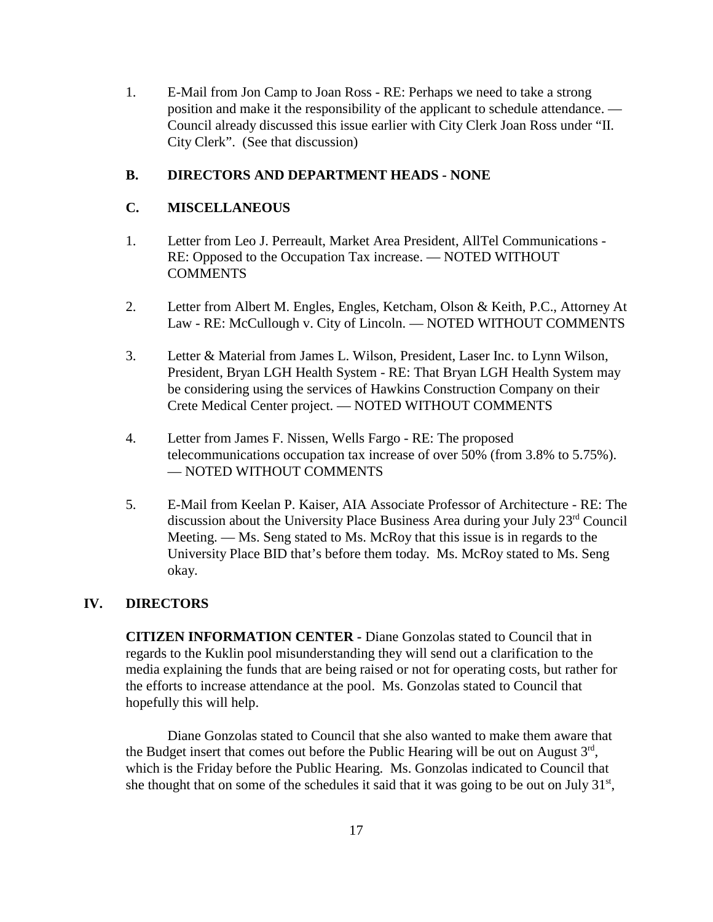1. E-Mail from Jon Camp to Joan Ross - RE: Perhaps we need to take a strong position and make it the responsibility of the applicant to schedule attendance. — Council already discussed this issue earlier with City Clerk Joan Ross under "II. City Clerk". (See that discussion)

## **B. DIRECTORS AND DEPARTMENT HEADS - NONE**

## **C. MISCELLANEOUS**

- 1. Letter from Leo J. Perreault, Market Area President, AllTel Communications RE: Opposed to the Occupation Tax increase. — NOTED WITHOUT **COMMENTS**
- 2. Letter from Albert M. Engles, Engles, Ketcham, Olson & Keith, P.C., Attorney At Law - RE: McCullough v. City of Lincoln. — NOTED WITHOUT COMMENTS
- 3. Letter & Material from James L. Wilson, President, Laser Inc. to Lynn Wilson, President, Bryan LGH Health System - RE: That Bryan LGH Health System may be considering using the services of Hawkins Construction Company on their Crete Medical Center project. — NOTED WITHOUT COMMENTS
- 4. Letter from James F. Nissen, Wells Fargo RE: The proposed telecommunications occupation tax increase of over 50% (from 3.8% to 5.75%). — NOTED WITHOUT COMMENTS
- 5. E-Mail from Keelan P. Kaiser, AIA Associate Professor of Architecture RE: The discussion about the University Place Business Area during your July 23rd Council Meeting. — Ms. Seng stated to Ms. McRoy that this issue is in regards to the University Place BID that's before them today. Ms. McRoy stated to Ms. Seng okay.

## **IV. DIRECTORS**

**CITIZEN INFORMATION CENTER -** Diane Gonzolas stated to Council that in regards to the Kuklin pool misunderstanding they will send out a clarification to the media explaining the funds that are being raised or not for operating costs, but rather for the efforts to increase attendance at the pool. Ms. Gonzolas stated to Council that hopefully this will help.

Diane Gonzolas stated to Council that she also wanted to make them aware that the Budget insert that comes out before the Public Hearing will be out on August  $3<sup>rd</sup>$ , which is the Friday before the Public Hearing. Ms. Gonzolas indicated to Council that she thought that on some of the schedules it said that it was going to be out on July  $31<sup>st</sup>$ ,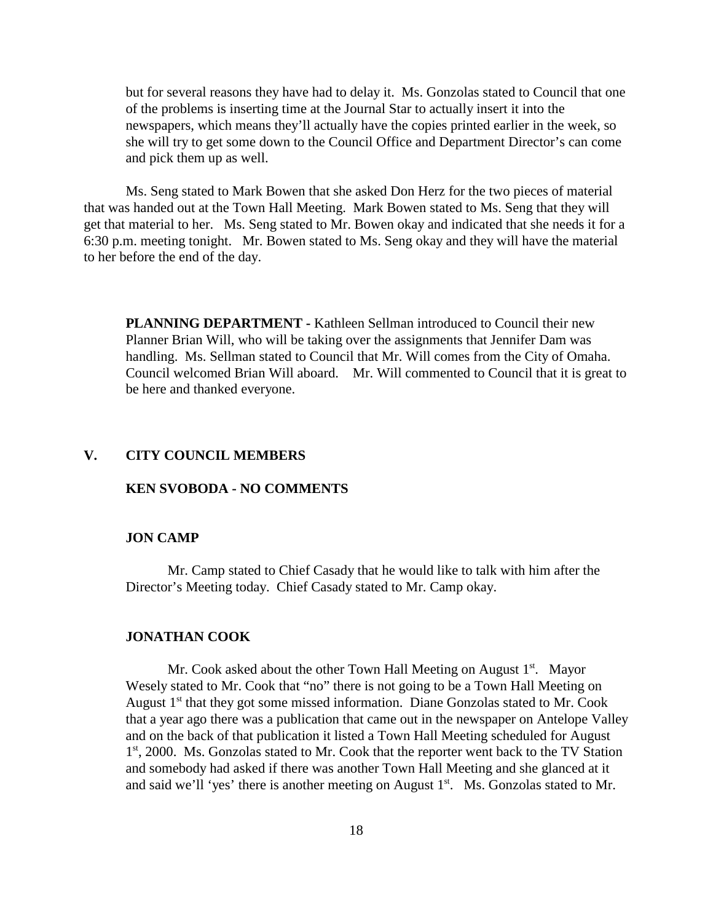but for several reasons they have had to delay it. Ms. Gonzolas stated to Council that one of the problems is inserting time at the Journal Star to actually insert it into the newspapers, which means they'll actually have the copies printed earlier in the week, so she will try to get some down to the Council Office and Department Director's can come and pick them up as well.

Ms. Seng stated to Mark Bowen that she asked Don Herz for the two pieces of material that was handed out at the Town Hall Meeting. Mark Bowen stated to Ms. Seng that they will get that material to her. Ms. Seng stated to Mr. Bowen okay and indicated that she needs it for a 6:30 p.m. meeting tonight. Mr. Bowen stated to Ms. Seng okay and they will have the material to her before the end of the day.

**PLANNING DEPARTMENT -** Kathleen Sellman introduced to Council their new Planner Brian Will, who will be taking over the assignments that Jennifer Dam was handling. Ms. Sellman stated to Council that Mr. Will comes from the City of Omaha. Council welcomed Brian Will aboard. Mr. Will commented to Council that it is great to be here and thanked everyone.

## **V. CITY COUNCIL MEMBERS**

#### **KEN SVOBODA - NO COMMENTS**

#### **JON CAMP**

Mr. Camp stated to Chief Casady that he would like to talk with him after the Director's Meeting today. Chief Casady stated to Mr. Camp okay.

#### **JONATHAN COOK**

Mr. Cook asked about the other Town Hall Meeting on August  $1<sup>st</sup>$ . Mayor Wesely stated to Mr. Cook that "no" there is not going to be a Town Hall Meeting on August  $1<sup>st</sup>$  that they got some missed information. Diane Gonzolas stated to Mr. Cook that a year ago there was a publication that came out in the newspaper on Antelope Valley and on the back of that publication it listed a Town Hall Meeting scheduled for August 1<sup>st</sup>, 2000. Ms. Gonzolas stated to Mr. Cook that the reporter went back to the TV Station and somebody had asked if there was another Town Hall Meeting and she glanced at it and said we'll 'yes' there is another meeting on August 1<sup>st</sup>. Ms. Gonzolas stated to Mr.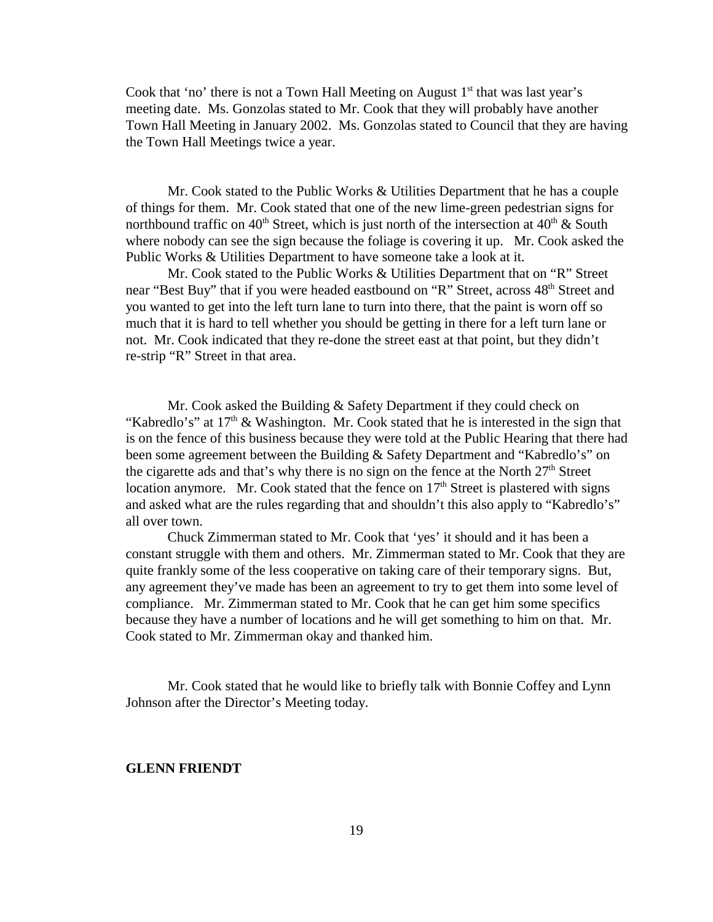Cook that 'no' there is not a Town Hall Meeting on August  $1<sup>st</sup>$  that was last year's meeting date. Ms. Gonzolas stated to Mr. Cook that they will probably have another Town Hall Meeting in January 2002. Ms. Gonzolas stated to Council that they are having the Town Hall Meetings twice a year.

Mr. Cook stated to the Public Works & Utilities Department that he has a couple of things for them. Mr. Cook stated that one of the new lime-green pedestrian signs for northbound traffic on  $40<sup>th</sup>$  Street, which is just north of the intersection at  $40<sup>th</sup>$  & South where nobody can see the sign because the foliage is covering it up. Mr. Cook asked the Public Works & Utilities Department to have someone take a look at it.

Mr. Cook stated to the Public Works & Utilities Department that on "R" Street near "Best Buy" that if you were headed eastbound on "R" Street, across 48<sup>th</sup> Street and you wanted to get into the left turn lane to turn into there, that the paint is worn off so much that it is hard to tell whether you should be getting in there for a left turn lane or not. Mr. Cook indicated that they re-done the street east at that point, but they didn't re-strip "R" Street in that area.

Mr. Cook asked the Building & Safety Department if they could check on "Kabredlo's" at  $17<sup>th</sup>$  & Washington. Mr. Cook stated that he is interested in the sign that is on the fence of this business because they were told at the Public Hearing that there had been some agreement between the Building & Safety Department and "Kabredlo's" on the cigarette ads and that's why there is no sign on the fence at the North  $27<sup>th</sup>$  Street location anymore. Mr. Cook stated that the fence on  $17<sup>th</sup>$  Street is plastered with signs and asked what are the rules regarding that and shouldn't this also apply to "Kabredlo's" all over town.

Chuck Zimmerman stated to Mr. Cook that 'yes' it should and it has been a constant struggle with them and others. Mr. Zimmerman stated to Mr. Cook that they are quite frankly some of the less cooperative on taking care of their temporary signs. But, any agreement they've made has been an agreement to try to get them into some level of compliance. Mr. Zimmerman stated to Mr. Cook that he can get him some specifics because they have a number of locations and he will get something to him on that. Mr. Cook stated to Mr. Zimmerman okay and thanked him.

Mr. Cook stated that he would like to briefly talk with Bonnie Coffey and Lynn Johnson after the Director's Meeting today.

## **GLENN FRIENDT**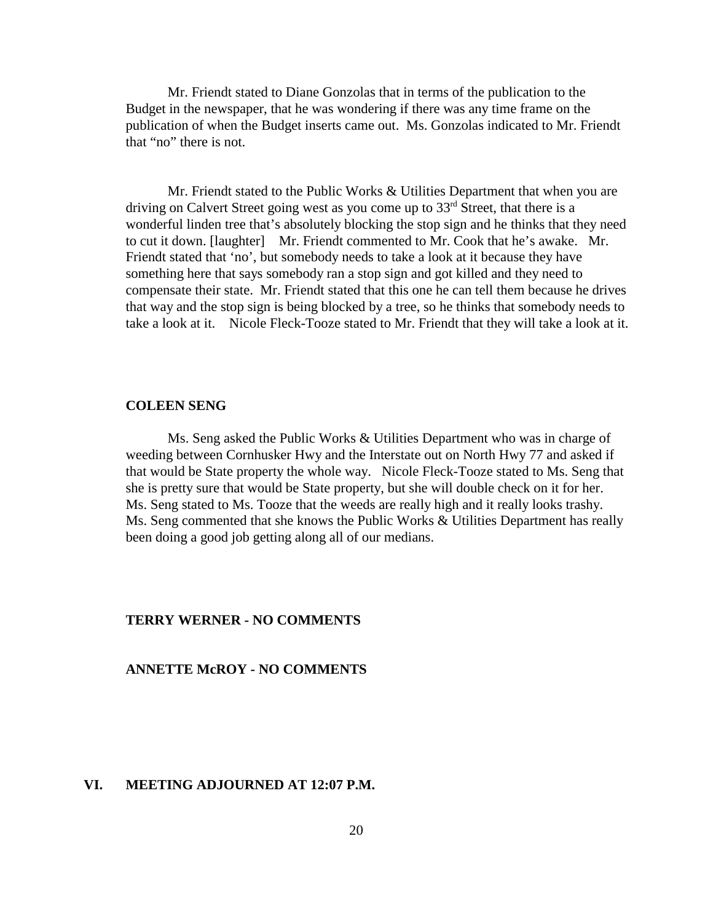Mr. Friendt stated to Diane Gonzolas that in terms of the publication to the Budget in the newspaper, that he was wondering if there was any time frame on the publication of when the Budget inserts came out. Ms. Gonzolas indicated to Mr. Friendt that "no" there is not.

Mr. Friendt stated to the Public Works & Utilities Department that when you are driving on Calvert Street going west as you come up to  $33<sup>rd</sup>$  Street, that there is a wonderful linden tree that's absolutely blocking the stop sign and he thinks that they need to cut it down. [laughter] Mr. Friendt commented to Mr. Cook that he's awake. Mr. Friendt stated that 'no', but somebody needs to take a look at it because they have something here that says somebody ran a stop sign and got killed and they need to compensate their state. Mr. Friendt stated that this one he can tell them because he drives that way and the stop sign is being blocked by a tree, so he thinks that somebody needs to take a look at it. Nicole Fleck-Tooze stated to Mr. Friendt that they will take a look at it.

#### **COLEEN SENG**

Ms. Seng asked the Public Works & Utilities Department who was in charge of weeding between Cornhusker Hwy and the Interstate out on North Hwy 77 and asked if that would be State property the whole way. Nicole Fleck-Tooze stated to Ms. Seng that she is pretty sure that would be State property, but she will double check on it for her. Ms. Seng stated to Ms. Tooze that the weeds are really high and it really looks trashy. Ms. Seng commented that she knows the Public Works & Utilities Department has really been doing a good job getting along all of our medians.

#### **TERRY WERNER - NO COMMENTS**

#### **ANNETTE McROY - NO COMMENTS**

#### **VI. MEETING ADJOURNED AT 12:07 P.M.**